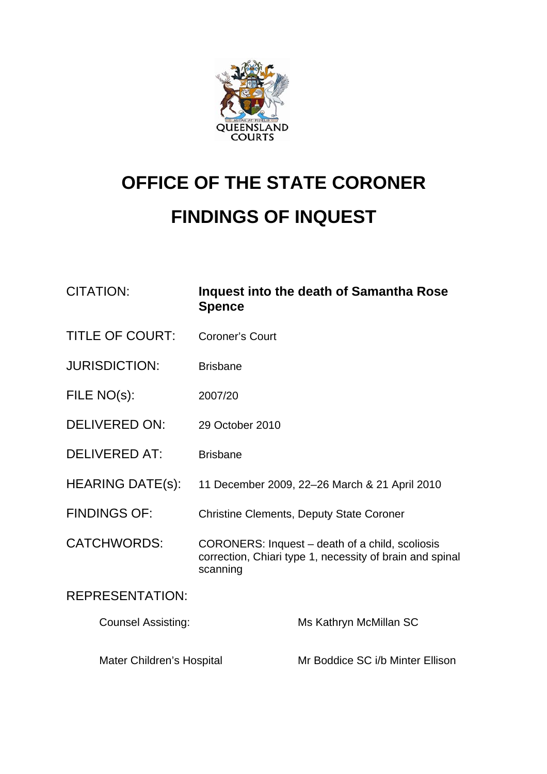

# **OFFICE OF THE STATE CORONER FINDINGS OF INQUEST**

| <b>CITATION:</b>          | <b>Spence</b>                                                                                                           | Inquest into the death of Samantha Rose |
|---------------------------|-------------------------------------------------------------------------------------------------------------------------|-----------------------------------------|
| <b>TITLE OF COURT:</b>    | <b>Coroner's Court</b>                                                                                                  |                                         |
| <b>JURISDICTION:</b>      | <b>Brisbane</b>                                                                                                         |                                         |
| FILE NO(s):               | 2007/20                                                                                                                 |                                         |
| <b>DELIVERED ON:</b>      | 29 October 2010                                                                                                         |                                         |
| <b>DELIVERED AT:</b>      | <b>Brisbane</b>                                                                                                         |                                         |
| <b>HEARING DATE(s):</b>   | 11 December 2009, 22-26 March & 21 April 2010                                                                           |                                         |
| <b>FINDINGS OF:</b>       | <b>Christine Clements, Deputy State Coroner</b>                                                                         |                                         |
| <b>CATCHWORDS:</b>        | CORONERS: Inquest – death of a child, scoliosis<br>correction, Chiari type 1, necessity of brain and spinal<br>scanning |                                         |
| <b>REPRESENTATION:</b>    |                                                                                                                         |                                         |
| <b>Counsel Assisting:</b> |                                                                                                                         | Ms Kathryn McMillan SC                  |
| Mater Children's Hospital |                                                                                                                         | Mr Boddice SC i/b Minter Ellison        |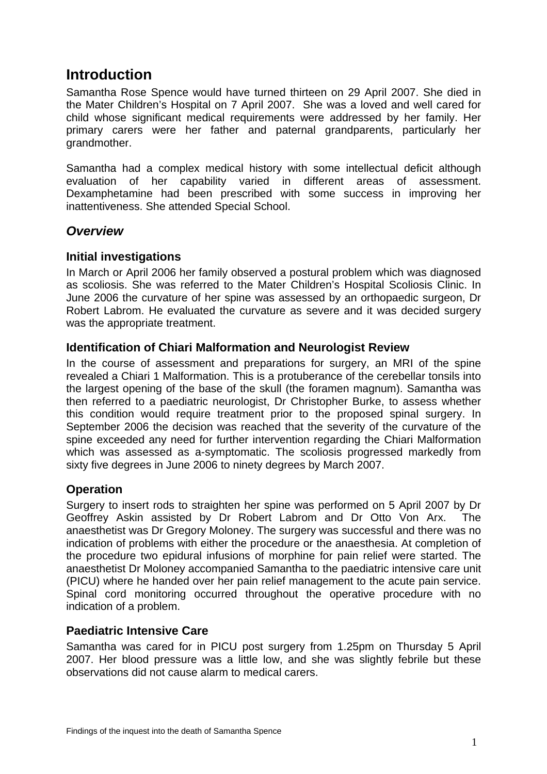# **Introduction**

Samantha Rose Spence would have turned thirteen on 29 April 2007. She died in the Mater Children's Hospital on 7 April 2007. She was a loved and well cared for child whose significant medical requirements were addressed by her family. Her primary carers were her father and paternal grandparents, particularly her grandmother.

Samantha had a complex medical history with some intellectual deficit although evaluation of her capability varied in different areas of assessment. Dexamphetamine had been prescribed with some success in improving her inattentiveness. She attended Special School.

## *Overview*

#### **Initial investigations**

In March or April 2006 her family observed a postural problem which was diagnosed as scoliosis. She was referred to the Mater Children's Hospital Scoliosis Clinic. In June 2006 the curvature of her spine was assessed by an orthopaedic surgeon, Dr Robert Labrom. He evaluated the curvature as severe and it was decided surgery was the appropriate treatment.

## **Identification of Chiari Malformation and Neurologist Review**

In the course of assessment and preparations for surgery, an MRI of the spine revealed a Chiari 1 Malformation. This is a protuberance of the cerebellar tonsils into the largest opening of the base of the skull (the foramen magnum). Samantha was then referred to a paediatric neurologist, Dr Christopher Burke, to assess whether this condition would require treatment prior to the proposed spinal surgery. In September 2006 the decision was reached that the severity of the curvature of the spine exceeded any need for further intervention regarding the Chiari Malformation which was assessed as a-symptomatic. The scoliosis progressed markedly from sixty five degrees in June 2006 to ninety degrees by March 2007.

## **Operation**

Surgery to insert rods to straighten her spine was performed on 5 April 2007 by Dr Geoffrey Askin assisted by Dr Robert Labrom and Dr Otto Von Arx. The anaesthetist was Dr Gregory Moloney. The surgery was successful and there was no indication of problems with either the procedure or the anaesthesia. At completion of the procedure two epidural infusions of morphine for pain relief were started. The anaesthetist Dr Moloney accompanied Samantha to the paediatric intensive care unit (PICU) where he handed over her pain relief management to the acute pain service. Spinal cord monitoring occurred throughout the operative procedure with no indication of a problem.

#### **Paediatric Intensive Care**

Samantha was cared for in PICU post surgery from 1.25pm on Thursday 5 April 2007. Her blood pressure was a little low, and she was slightly febrile but these observations did not cause alarm to medical carers.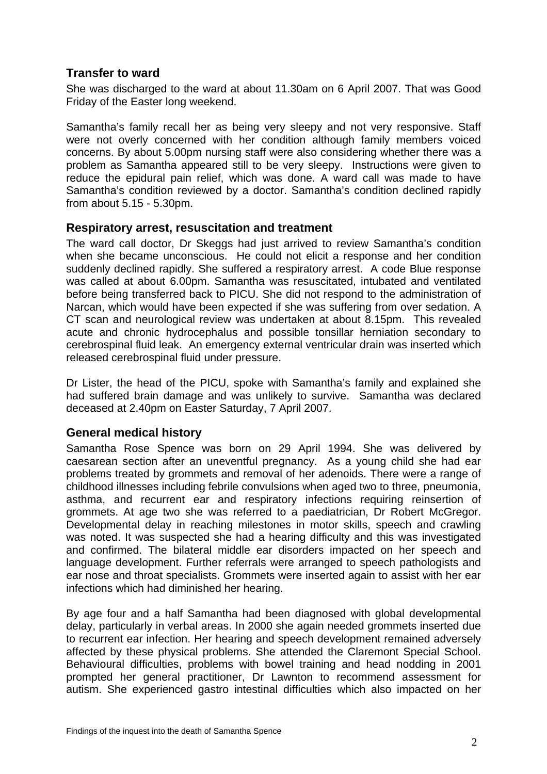## **Transfer to ward**

She was discharged to the ward at about 11.30am on 6 April 2007. That was Good Friday of the Easter long weekend.

Samantha's family recall her as being very sleepy and not very responsive. Staff were not overly concerned with her condition although family members voiced concerns. By about 5.00pm nursing staff were also considering whether there was a problem as Samantha appeared still to be very sleepy. Instructions were given to reduce the epidural pain relief, which was done. A ward call was made to have Samantha's condition reviewed by a doctor. Samantha's condition declined rapidly from about 5.15 - 5.30pm.

#### **Respiratory arrest, resuscitation and treatment**

The ward call doctor, Dr Skeggs had just arrived to review Samantha's condition when she became unconscious. He could not elicit a response and her condition suddenly declined rapidly. She suffered a respiratory arrest. A code Blue response was called at about 6.00pm. Samantha was resuscitated, intubated and ventilated before being transferred back to PICU. She did not respond to the administration of Narcan, which would have been expected if she was suffering from over sedation. A CT scan and neurological review was undertaken at about 8.15pm. This revealed acute and chronic hydrocephalus and possible tonsillar herniation secondary to cerebrospinal fluid leak. An emergency external ventricular drain was inserted which released cerebrospinal fluid under pressure.

Dr Lister, the head of the PICU, spoke with Samantha's family and explained she had suffered brain damage and was unlikely to survive. Samantha was declared deceased at 2.40pm on Easter Saturday, 7 April 2007.

## **General medical history**

Samantha Rose Spence was born on 29 April 1994. She was delivered by caesarean section after an uneventful pregnancy. As a young child she had ear problems treated by grommets and removal of her adenoids. There were a range of childhood illnesses including febrile convulsions when aged two to three, pneumonia, asthma, and recurrent ear and respiratory infections requiring reinsertion of grommets. At age two she was referred to a paediatrician, Dr Robert McGregor. Developmental delay in reaching milestones in motor skills, speech and crawling was noted. It was suspected she had a hearing difficulty and this was investigated and confirmed. The bilateral middle ear disorders impacted on her speech and language development. Further referrals were arranged to speech pathologists and ear nose and throat specialists. Grommets were inserted again to assist with her ear infections which had diminished her hearing.

By age four and a half Samantha had been diagnosed with global developmental delay, particularly in verbal areas. In 2000 she again needed grommets inserted due to recurrent ear infection. Her hearing and speech development remained adversely affected by these physical problems. She attended the Claremont Special School. Behavioural difficulties, problems with bowel training and head nodding in 2001 prompted her general practitioner, Dr Lawnton to recommend assessment for autism. She experienced gastro intestinal difficulties which also impacted on her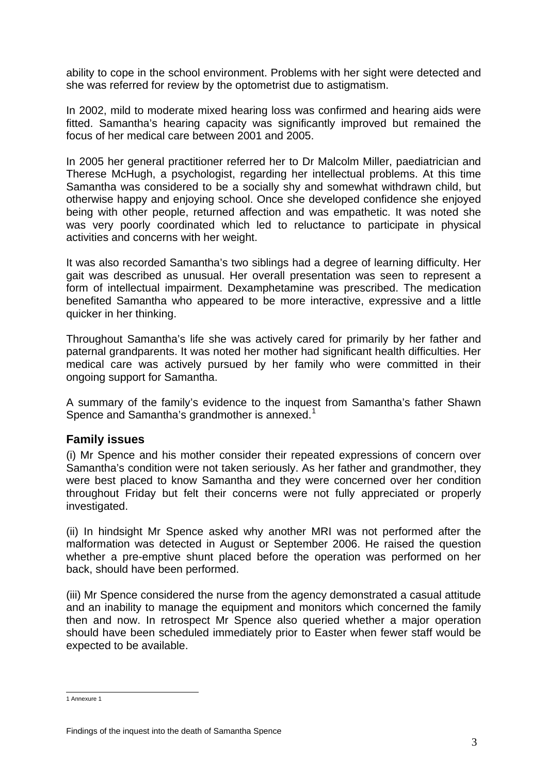ability to cope in the school environment. Problems with her sight were detected and she was referred for review by the optometrist due to astigmatism.

In 2002, mild to moderate mixed hearing loss was confirmed and hearing aids were fitted. Samantha's hearing capacity was significantly improved but remained the focus of her medical care between 2001 and 2005.

In 2005 her general practitioner referred her to Dr Malcolm Miller, paediatrician and Therese McHugh, a psychologist, regarding her intellectual problems. At this time Samantha was considered to be a socially shy and somewhat withdrawn child, but otherwise happy and enjoying school. Once she developed confidence she enjoyed being with other people, returned affection and was empathetic. It was noted she was very poorly coordinated which led to reluctance to participate in physical activities and concerns with her weight.

It was also recorded Samantha's two siblings had a degree of learning difficulty. Her gait was described as unusual. Her overall presentation was seen to represent a form of intellectual impairment. Dexamphetamine was prescribed. The medication benefited Samantha who appeared to be more interactive, expressive and a little quicker in her thinking.

Throughout Samantha's life she was actively cared for primarily by her father and paternal grandparents. It was noted her mother had significant health difficulties. Her medical care was actively pursued by her family who were committed in their ongoing support for Samantha.

A summary of the family's evidence to the inquest from Samantha's father Shawn Spence and Samantha's grandmother is annexed. $1$ 

## **Family issues**

(i) Mr Spence and his mother consider their repeated expressions of concern over Samantha's condition were not taken seriously. As her father and grandmother, they were best placed to know Samantha and they were concerned over her condition throughout Friday but felt their concerns were not fully appreciated or properly investigated.

(ii) In hindsight Mr Spence asked why another MRI was not performed after the malformation was detected in August or September 2006. He raised the question whether a pre-emptive shunt placed before the operation was performed on her back, should have been performed.

(iii) Mr Spence considered the nurse from the agency demonstrated a casual attitude and an inability to manage the equipment and monitors which concerned the family then and now. In retrospect Mr Spence also queried whether a major operation should have been scheduled immediately prior to Easter when fewer staff would be expected to be available.

<span id="page-3-0"></span> 1 Annexure 1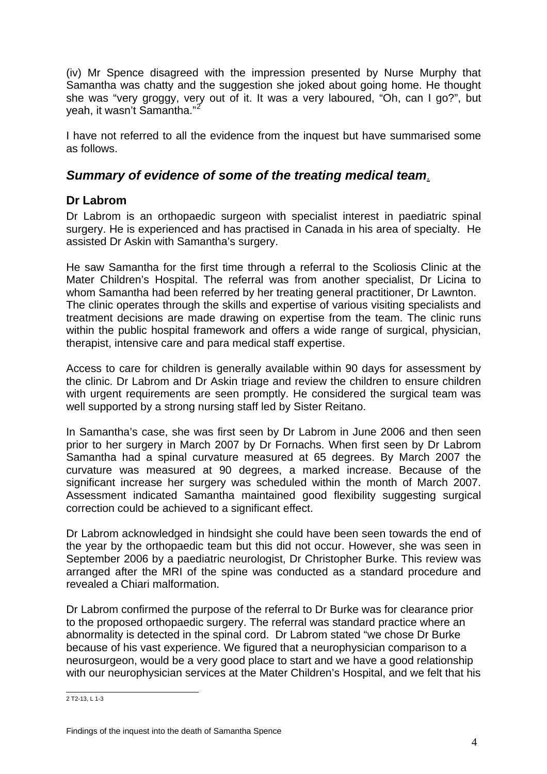(iv) Mr Spence disagreed with the impression presented by Nurse Murphy that Samantha was chatty and the suggestion she joked about going home. He thought she was "very groggy, very out of it. It was a very laboured, "Oh, can I go?", but yeah, it wasn't Samantha."<sup>[2](#page-4-0)</sup>

I have not referred to all the evidence from the inquest but have summarised some as follows.

# *Summary of evidence of some of the treating medical team*.

# **Dr Labrom**

Dr Labrom is an orthopaedic surgeon with specialist interest in paediatric spinal surgery. He is experienced and has practised in Canada in his area of specialty. He assisted Dr Askin with Samantha's surgery.

He saw Samantha for the first time through a referral to the Scoliosis Clinic at the Mater Children's Hospital. The referral was from another specialist, Dr Licina to whom Samantha had been referred by her treating general practitioner, Dr Lawnton. The clinic operates through the skills and expertise of various visiting specialists and treatment decisions are made drawing on expertise from the team. The clinic runs within the public hospital framework and offers a wide range of surgical, physician, therapist, intensive care and para medical staff expertise.

Access to care for children is generally available within 90 days for assessment by the clinic. Dr Labrom and Dr Askin triage and review the children to ensure children with urgent requirements are seen promptly. He considered the surgical team was well supported by a strong nursing staff led by Sister Reitano.

In Samantha's case, she was first seen by Dr Labrom in June 2006 and then seen prior to her surgery in March 2007 by Dr Fornachs. When first seen by Dr Labrom Samantha had a spinal curvature measured at 65 degrees. By March 2007 the curvature was measured at 90 degrees, a marked increase. Because of the significant increase her surgery was scheduled within the month of March 2007. Assessment indicated Samantha maintained good flexibility suggesting surgical correction could be achieved to a significant effect.

Dr Labrom acknowledged in hindsight she could have been seen towards the end of the year by the orthopaedic team but this did not occur. However, she was seen in September 2006 by a paediatric neurologist, Dr Christopher Burke. This review was arranged after the MRI of the spine was conducted as a standard procedure and revealed a Chiari malformation.

Dr Labrom confirmed the purpose of the referral to Dr Burke was for clearance prior to the proposed orthopaedic surgery. The referral was standard practice where an abnormality is detected in the spinal cord. Dr Labrom stated "we chose Dr Burke because of his vast experience. We figured that a neurophysician comparison to a neurosurgeon, would be a very good place to start and we have a good relationship with our neurophysician services at the Mater Children's Hospital, and we felt that his

<span id="page-4-0"></span> 2 T2-13, L 1-3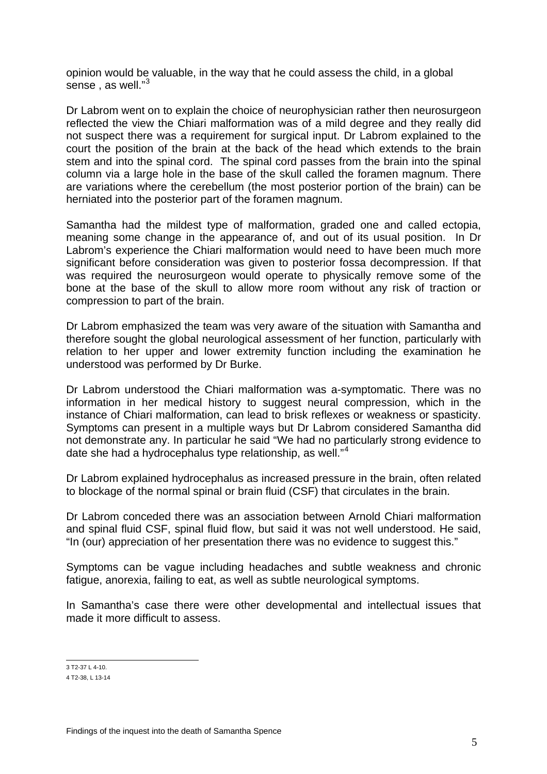opinion would be valuable, in the way that he could assess the child, in a global sense , as well."<sup>[3](#page-5-0)</sup>

Dr Labrom went on to explain the choice of neurophysician rather then neurosurgeon reflected the view the Chiari malformation was of a mild degree and they really did not suspect there was a requirement for surgical input. Dr Labrom explained to the court the position of the brain at the back of the head which extends to the brain stem and into the spinal cord. The spinal cord passes from the brain into the spinal column via a large hole in the base of the skull called the foramen magnum. There are variations where the cerebellum (the most posterior portion of the brain) can be herniated into the posterior part of the foramen magnum.

Samantha had the mildest type of malformation, graded one and called ectopia, meaning some change in the appearance of, and out of its usual position. In Dr Labrom's experience the Chiari malformation would need to have been much more significant before consideration was given to posterior fossa decompression. If that was required the neurosurgeon would operate to physically remove some of the bone at the base of the skull to allow more room without any risk of traction or compression to part of the brain.

Dr Labrom emphasized the team was very aware of the situation with Samantha and therefore sought the global neurological assessment of her function, particularly with relation to her upper and lower extremity function including the examination he understood was performed by Dr Burke.

Dr Labrom understood the Chiari malformation was a-symptomatic. There was no information in her medical history to suggest neural compression, which in the instance of Chiari malformation, can lead to brisk reflexes or weakness or spasticity. Symptoms can present in a multiple ways but Dr Labrom considered Samantha did not demonstrate any. In particular he said "We had no particularly strong evidence to date she had a hydrocephalus type relationship, as well."[4](#page-5-1)

Dr Labrom explained hydrocephalus as increased pressure in the brain, often related to blockage of the normal spinal or brain fluid (CSF) that circulates in the brain.

Dr Labrom conceded there was an association between Arnold Chiari malformation and spinal fluid CSF, spinal fluid flow, but said it was not well understood. He said, "In (our) appreciation of her presentation there was no evidence to suggest this."

Symptoms can be vague including headaches and subtle weakness and chronic fatigue, anorexia, failing to eat, as well as subtle neurological symptoms.

In Samantha's case there were other developmental and intellectual issues that made it more difficult to assess.

3 T2-37 L 4-10.

<span id="page-5-1"></span><span id="page-5-0"></span><sup>4</sup> T2-38, L 13-14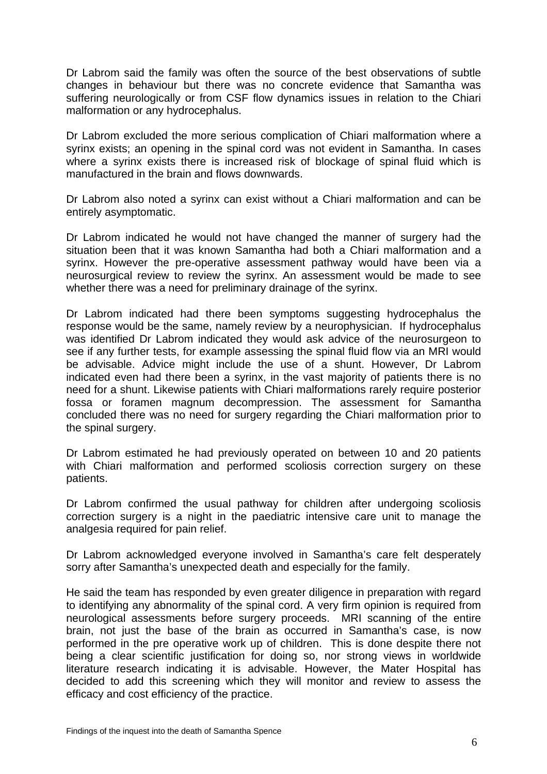Dr Labrom said the family was often the source of the best observations of subtle changes in behaviour but there was no concrete evidence that Samantha was suffering neurologically or from CSF flow dynamics issues in relation to the Chiari malformation or any hydrocephalus.

Dr Labrom excluded the more serious complication of Chiari malformation where a syrinx exists; an opening in the spinal cord was not evident in Samantha. In cases where a syrinx exists there is increased risk of blockage of spinal fluid which is manufactured in the brain and flows downwards.

Dr Labrom also noted a syrinx can exist without a Chiari malformation and can be entirely asymptomatic.

Dr Labrom indicated he would not have changed the manner of surgery had the situation been that it was known Samantha had both a Chiari malformation and a syrinx. However the pre-operative assessment pathway would have been via a neurosurgical review to review the syrinx. An assessment would be made to see whether there was a need for preliminary drainage of the syrinx.

Dr Labrom indicated had there been symptoms suggesting hydrocephalus the response would be the same, namely review by a neurophysician. If hydrocephalus was identified Dr Labrom indicated they would ask advice of the neurosurgeon to see if any further tests, for example assessing the spinal fluid flow via an MRI would be advisable. Advice might include the use of a shunt. However, Dr Labrom indicated even had there been a syrinx, in the vast majority of patients there is no need for a shunt. Likewise patients with Chiari malformations rarely require posterior fossa or foramen magnum decompression. The assessment for Samantha concluded there was no need for surgery regarding the Chiari malformation prior to the spinal surgery.

Dr Labrom estimated he had previously operated on between 10 and 20 patients with Chiari malformation and performed scoliosis correction surgery on these patients.

Dr Labrom confirmed the usual pathway for children after undergoing scoliosis correction surgery is a night in the paediatric intensive care unit to manage the analgesia required for pain relief.

Dr Labrom acknowledged everyone involved in Samantha's care felt desperately sorry after Samantha's unexpected death and especially for the family.

He said the team has responded by even greater diligence in preparation with regard to identifying any abnormality of the spinal cord. A very firm opinion is required from neurological assessments before surgery proceeds. MRI scanning of the entire brain, not just the base of the brain as occurred in Samantha's case, is now performed in the pre operative work up of children. This is done despite there not being a clear scientific justification for doing so, nor strong views in worldwide literature research indicating it is advisable. However, the Mater Hospital has decided to add this screening which they will monitor and review to assess the efficacy and cost efficiency of the practice.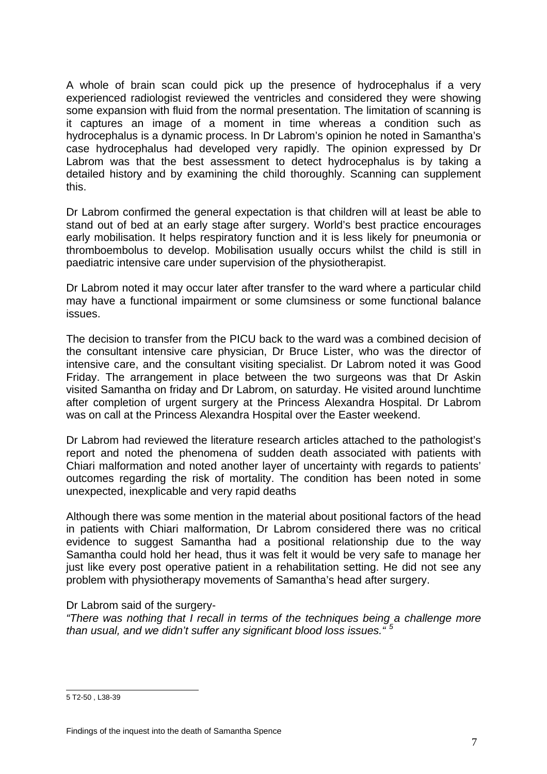A whole of brain scan could pick up the presence of hydrocephalus if a very experienced radiologist reviewed the ventricles and considered they were showing some expansion with fluid from the normal presentation. The limitation of scanning is it captures an image of a moment in time whereas a condition such as hydrocephalus is a dynamic process. In Dr Labrom's opinion he noted in Samantha's case hydrocephalus had developed very rapidly. The opinion expressed by Dr Labrom was that the best assessment to detect hydrocephalus is by taking a detailed history and by examining the child thoroughly. Scanning can supplement this.

Dr Labrom confirmed the general expectation is that children will at least be able to stand out of bed at an early stage after surgery. World's best practice encourages early mobilisation. It helps respiratory function and it is less likely for pneumonia or thromboembolus to develop. Mobilisation usually occurs whilst the child is still in paediatric intensive care under supervision of the physiotherapist.

Dr Labrom noted it may occur later after transfer to the ward where a particular child may have a functional impairment or some clumsiness or some functional balance issues.

The decision to transfer from the PICU back to the ward was a combined decision of the consultant intensive care physician, Dr Bruce Lister, who was the director of intensive care, and the consultant visiting specialist. Dr Labrom noted it was Good Friday. The arrangement in place between the two surgeons was that Dr Askin visited Samantha on friday and Dr Labrom, on saturday. He visited around lunchtime after completion of urgent surgery at the Princess Alexandra Hospital. Dr Labrom was on call at the Princess Alexandra Hospital over the Easter weekend.

Dr Labrom had reviewed the literature research articles attached to the pathologist's report and noted the phenomena of sudden death associated with patients with Chiari malformation and noted another layer of uncertainty with regards to patients' outcomes regarding the risk of mortality. The condition has been noted in some unexpected, inexplicable and very rapid deaths

Although there was some mention in the material about positional factors of the head in patients with Chiari malformation, Dr Labrom considered there was no critical evidence to suggest Samantha had a positional relationship due to the way Samantha could hold her head, thus it was felt it would be very safe to manage her just like every post operative patient in a rehabilitation setting. He did not see any problem with physiotherapy movements of Samantha's head after surgery.

#### Dr Labrom said of the surgery-

*"There was nothing that I recall in terms of the techniques being a challenge more than usual, and we didn't suffer any significant blood loss issues." [5](#page-7-0)*

<span id="page-7-0"></span> 5 T2-50 , L38-39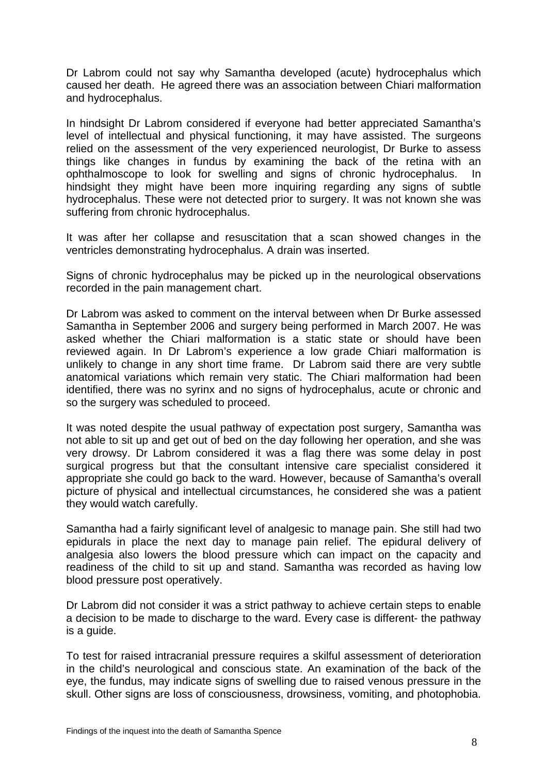Dr Labrom could not say why Samantha developed (acute) hydrocephalus which caused her death. He agreed there was an association between Chiari malformation and hydrocephalus.

In hindsight Dr Labrom considered if everyone had better appreciated Samantha's level of intellectual and physical functioning, it may have assisted. The surgeons relied on the assessment of the very experienced neurologist, Dr Burke to assess things like changes in fundus by examining the back of the retina with an ophthalmoscope to look for swelling and signs of chronic hydrocephalus. In hindsight they might have been more inquiring regarding any signs of subtle hydrocephalus. These were not detected prior to surgery. It was not known she was suffering from chronic hydrocephalus.

It was after her collapse and resuscitation that a scan showed changes in the ventricles demonstrating hydrocephalus. A drain was inserted.

Signs of chronic hydrocephalus may be picked up in the neurological observations recorded in the pain management chart.

Dr Labrom was asked to comment on the interval between when Dr Burke assessed Samantha in September 2006 and surgery being performed in March 2007. He was asked whether the Chiari malformation is a static state or should have been reviewed again. In Dr Labrom's experience a low grade Chiari malformation is unlikely to change in any short time frame. Dr Labrom said there are very subtle anatomical variations which remain very static. The Chiari malformation had been identified, there was no syrinx and no signs of hydrocephalus, acute or chronic and so the surgery was scheduled to proceed.

It was noted despite the usual pathway of expectation post surgery, Samantha was not able to sit up and get out of bed on the day following her operation, and she was very drowsy. Dr Labrom considered it was a flag there was some delay in post surgical progress but that the consultant intensive care specialist considered it appropriate she could go back to the ward. However, because of Samantha's overall picture of physical and intellectual circumstances, he considered she was a patient they would watch carefully.

Samantha had a fairly significant level of analgesic to manage pain. She still had two epidurals in place the next day to manage pain relief. The epidural delivery of analgesia also lowers the blood pressure which can impact on the capacity and readiness of the child to sit up and stand. Samantha was recorded as having low blood pressure post operatively.

Dr Labrom did not consider it was a strict pathway to achieve certain steps to enable a decision to be made to discharge to the ward. Every case is different- the pathway is a guide.

To test for raised intracranial pressure requires a skilful assessment of deterioration in the child's neurological and conscious state. An examination of the back of the eye, the fundus, may indicate signs of swelling due to raised venous pressure in the skull. Other signs are loss of consciousness, drowsiness, vomiting, and photophobia.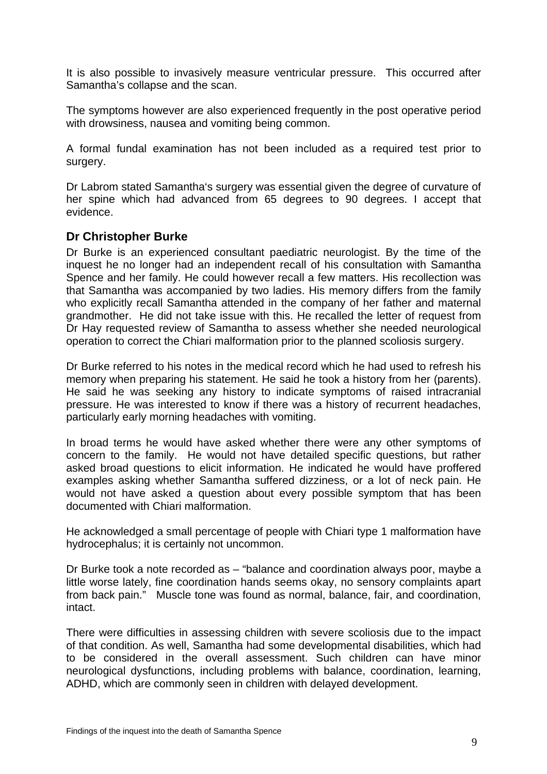It is also possible to invasively measure ventricular pressure. This occurred after Samantha's collapse and the scan.

The symptoms however are also experienced frequently in the post operative period with drowsiness, nausea and vomiting being common.

A formal fundal examination has not been included as a required test prior to surgery.

Dr Labrom stated Samantha's surgery was essential given the degree of curvature of her spine which had advanced from 65 degrees to 90 degrees. I accept that evidence.

## **Dr Christopher Burke**

Dr Burke is an experienced consultant paediatric neurologist. By the time of the inquest he no longer had an independent recall of his consultation with Samantha Spence and her family. He could however recall a few matters. His recollection was that Samantha was accompanied by two ladies. His memory differs from the family who explicitly recall Samantha attended in the company of her father and maternal grandmother. He did not take issue with this. He recalled the letter of request from Dr Hay requested review of Samantha to assess whether she needed neurological operation to correct the Chiari malformation prior to the planned scoliosis surgery.

Dr Burke referred to his notes in the medical record which he had used to refresh his memory when preparing his statement. He said he took a history from her (parents). He said he was seeking any history to indicate symptoms of raised intracranial pressure. He was interested to know if there was a history of recurrent headaches, particularly early morning headaches with vomiting.

In broad terms he would have asked whether there were any other symptoms of concern to the family. He would not have detailed specific questions, but rather asked broad questions to elicit information. He indicated he would have proffered examples asking whether Samantha suffered dizziness, or a lot of neck pain. He would not have asked a question about every possible symptom that has been documented with Chiari malformation.

He acknowledged a small percentage of people with Chiari type 1 malformation have hydrocephalus; it is certainly not uncommon.

Dr Burke took a note recorded as – "balance and coordination always poor, maybe a little worse lately, fine coordination hands seems okay, no sensory complaints apart from back pain." Muscle tone was found as normal, balance, fair, and coordination, intact.

There were difficulties in assessing children with severe scoliosis due to the impact of that condition. As well, Samantha had some developmental disabilities, which had to be considered in the overall assessment. Such children can have minor neurological dysfunctions, including problems with balance, coordination, learning, ADHD, which are commonly seen in children with delayed development.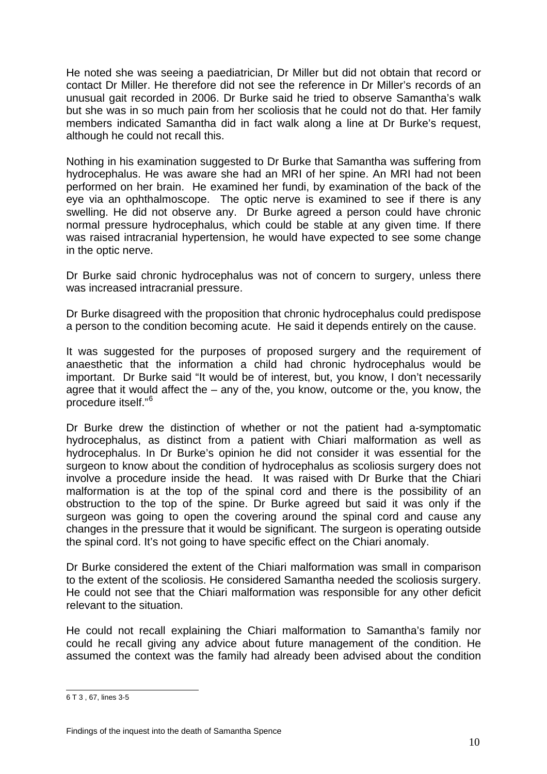He noted she was seeing a paediatrician, Dr Miller but did not obtain that record or contact Dr Miller. He therefore did not see the reference in Dr Miller's records of an unusual gait recorded in 2006. Dr Burke said he tried to observe Samantha's walk but she was in so much pain from her scoliosis that he could not do that. Her family members indicated Samantha did in fact walk along a line at Dr Burke's request, although he could not recall this.

Nothing in his examination suggested to Dr Burke that Samantha was suffering from hydrocephalus. He was aware she had an MRI of her spine. An MRI had not been performed on her brain. He examined her fundi, by examination of the back of the eye via an ophthalmoscope. The optic nerve is examined to see if there is any swelling. He did not observe any. Dr Burke agreed a person could have chronic normal pressure hydrocephalus, which could be stable at any given time. If there was raised intracranial hypertension, he would have expected to see some change in the optic nerve.

Dr Burke said chronic hydrocephalus was not of concern to surgery, unless there was increased intracranial pressure.

Dr Burke disagreed with the proposition that chronic hydrocephalus could predispose a person to the condition becoming acute. He said it depends entirely on the cause.

It was suggested for the purposes of proposed surgery and the requirement of anaesthetic that the information a child had chronic hydrocephalus would be important. Dr Burke said "It would be of interest, but, you know, I don't necessarily agree that it would affect the – any of the, you know, outcome or the, you know, the procedure itself."[6](#page-10-0)

Dr Burke drew the distinction of whether or not the patient had a-symptomatic hydrocephalus, as distinct from a patient with Chiari malformation as well as hydrocephalus. In Dr Burke's opinion he did not consider it was essential for the surgeon to know about the condition of hydrocephalus as scoliosis surgery does not involve a procedure inside the head. It was raised with Dr Burke that the Chiari malformation is at the top of the spinal cord and there is the possibility of an obstruction to the top of the spine. Dr Burke agreed but said it was only if the surgeon was going to open the covering around the spinal cord and cause any changes in the pressure that it would be significant. The surgeon is operating outside the spinal cord. It's not going to have specific effect on the Chiari anomaly.

Dr Burke considered the extent of the Chiari malformation was small in comparison to the extent of the scoliosis. He considered Samantha needed the scoliosis surgery. He could not see that the Chiari malformation was responsible for any other deficit relevant to the situation.

He could not recall explaining the Chiari malformation to Samantha's family nor could he recall giving any advice about future management of the condition. He assumed the context was the family had already been advised about the condition

<span id="page-10-0"></span> 6 T 3 , 67, lines 3-5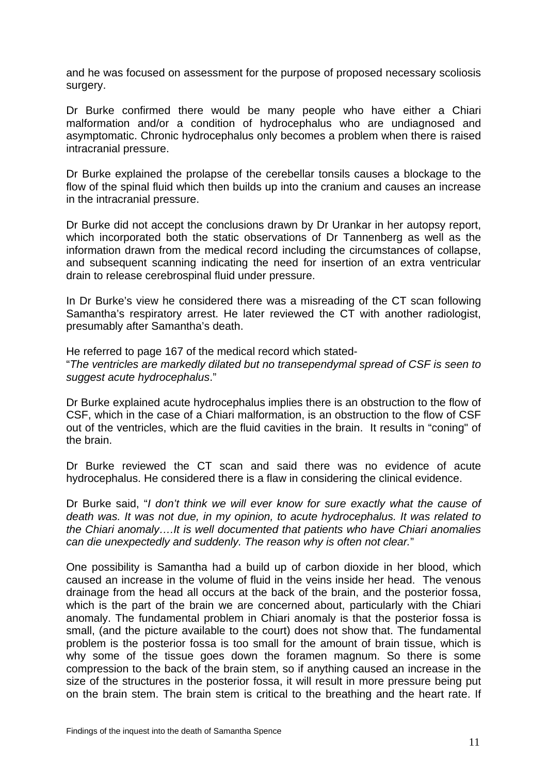and he was focused on assessment for the purpose of proposed necessary scoliosis surgery.

Dr Burke confirmed there would be many people who have either a Chiari malformation and/or a condition of hydrocephalus who are undiagnosed and asymptomatic. Chronic hydrocephalus only becomes a problem when there is raised intracranial pressure.

Dr Burke explained the prolapse of the cerebellar tonsils causes a blockage to the flow of the spinal fluid which then builds up into the cranium and causes an increase in the intracranial pressure.

Dr Burke did not accept the conclusions drawn by Dr Urankar in her autopsy report, which incorporated both the static observations of Dr Tannenberg as well as the information drawn from the medical record including the circumstances of collapse, and subsequent scanning indicating the need for insertion of an extra ventricular drain to release cerebrospinal fluid under pressure.

In Dr Burke's view he considered there was a misreading of the CT scan following Samantha's respiratory arrest. He later reviewed the CT with another radiologist, presumably after Samantha's death.

He referred to page 167 of the medical record which stated- "*The ventricles are markedly dilated but no transependymal spread of CSF is seen to suggest acute hydrocephalus*."

Dr Burke explained acute hydrocephalus implies there is an obstruction to the flow of CSF, which in the case of a Chiari malformation, is an obstruction to the flow of CSF out of the ventricles, which are the fluid cavities in the brain. It results in "coning" of the brain.

Dr Burke reviewed the CT scan and said there was no evidence of acute hydrocephalus. He considered there is a flaw in considering the clinical evidence.

Dr Burke said, "*I don't think we will ever know for sure exactly what the cause of death was. It was not due, in my opinion, to acute hydrocephalus. It was related to the Chiari anomaly….It is well documented that patients who have Chiari anomalies can die unexpectedly and suddenly. The reason why is often not clear.*"

One possibility is Samantha had a build up of carbon dioxide in her blood, which caused an increase in the volume of fluid in the veins inside her head. The venous drainage from the head all occurs at the back of the brain, and the posterior fossa, which is the part of the brain we are concerned about, particularly with the Chiari anomaly. The fundamental problem in Chiari anomaly is that the posterior fossa is small, (and the picture available to the court) does not show that. The fundamental problem is the posterior fossa is too small for the amount of brain tissue, which is why some of the tissue goes down the foramen magnum. So there is some compression to the back of the brain stem, so if anything caused an increase in the size of the structures in the posterior fossa, it will result in more pressure being put on the brain stem. The brain stem is critical to the breathing and the heart rate. If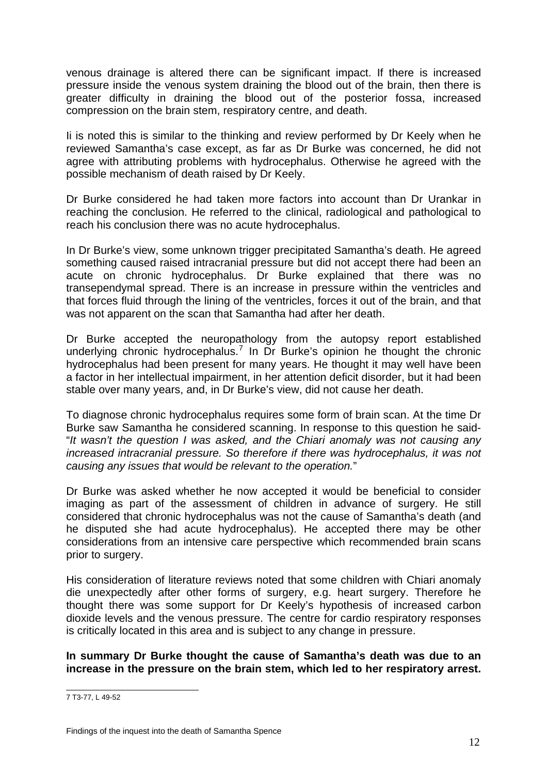venous drainage is altered there can be significant impact. If there is increased pressure inside the venous system draining the blood out of the brain, then there is greater difficulty in draining the blood out of the posterior fossa, increased compression on the brain stem, respiratory centre, and death.

Ii is noted this is similar to the thinking and review performed by Dr Keely when he reviewed Samantha's case except, as far as Dr Burke was concerned, he did not agree with attributing problems with hydrocephalus. Otherwise he agreed with the possible mechanism of death raised by Dr Keely.

Dr Burke considered he had taken more factors into account than Dr Urankar in reaching the conclusion. He referred to the clinical, radiological and pathological to reach his conclusion there was no acute hydrocephalus.

In Dr Burke's view, some unknown trigger precipitated Samantha's death. He agreed something caused raised intracranial pressure but did not accept there had been an acute on chronic hydrocephalus. Dr Burke explained that there was no transependymal spread. There is an increase in pressure within the ventricles and that forces fluid through the lining of the ventricles, forces it out of the brain, and that was not apparent on the scan that Samantha had after her death.

Dr Burke accepted the neuropathology from the autopsy report established underlying chronic hydrocephalus.<sup>[7](#page-12-0)</sup> In Dr Burke's opinion he thought the chronic hydrocephalus had been present for many years. He thought it may well have been a factor in her intellectual impairment, in her attention deficit disorder, but it had been stable over many years, and, in Dr Burke's view, did not cause her death.

To diagnose chronic hydrocephalus requires some form of brain scan. At the time Dr Burke saw Samantha he considered scanning. In response to this question he said- "*It wasn't the question I was asked, and the Chiari anomaly was not causing any increased intracranial pressure. So therefore if there was hydrocephalus, it was not causing any issues that would be relevant to the operation.*"

Dr Burke was asked whether he now accepted it would be beneficial to consider imaging as part of the assessment of children in advance of surgery. He still considered that chronic hydrocephalus was not the cause of Samantha's death (and he disputed she had acute hydrocephalus). He accepted there may be other considerations from an intensive care perspective which recommended brain scans prior to surgery.

His consideration of literature reviews noted that some children with Chiari anomaly die unexpectedly after other forms of surgery, e.g. heart surgery. Therefore he thought there was some support for Dr Keely's hypothesis of increased carbon dioxide levels and the venous pressure. The centre for cardio respiratory responses is critically located in this area and is subject to any change in pressure.

**In summary Dr Burke thought the cause of Samantha's death was due to an increase in the pressure on the brain stem, which led to her respiratory arrest.** 

<span id="page-12-0"></span><sup>–&</sup>lt;br>7 T3-77, L 49-52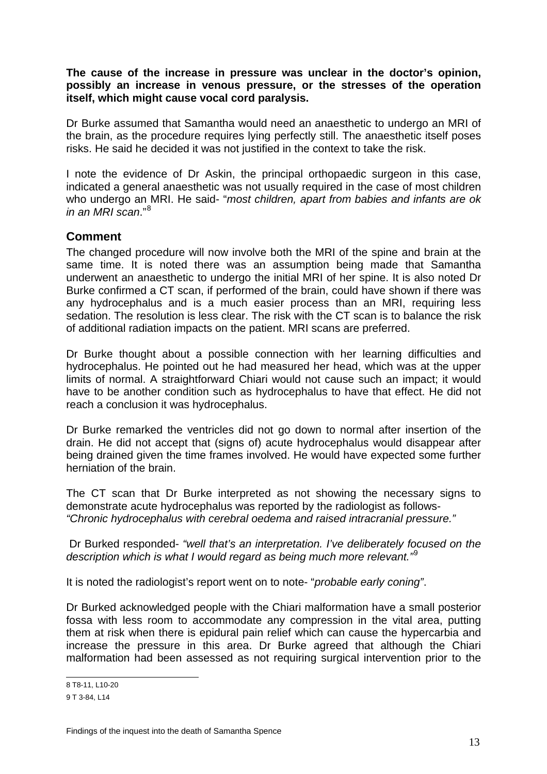#### **The cause of the increase in pressure was unclear in the doctor's opinion, possibly an increase in venous pressure, or the stresses of the operation itself, which might cause vocal cord paralysis.**

Dr Burke assumed that Samantha would need an anaesthetic to undergo an MRI of the brain, as the procedure requires lying perfectly still. The anaesthetic itself poses risks. He said he decided it was not justified in the context to take the risk.

I note the evidence of Dr Askin, the principal orthopaedic surgeon in this case, indicated a general anaesthetic was not usually required in the case of most children who undergo an MRI. He said- "*most children, apart from babies and infants are ok in an MRI scan*."[8](#page-13-0)

## **Comment**

The changed procedure will now involve both the MRI of the spine and brain at the same time. It is noted there was an assumption being made that Samantha underwent an anaesthetic to undergo the initial MRI of her spine. It is also noted Dr Burke confirmed a CT scan, if performed of the brain, could have shown if there was any hydrocephalus and is a much easier process than an MRI, requiring less sedation. The resolution is less clear. The risk with the CT scan is to balance the risk of additional radiation impacts on the patient. MRI scans are preferred.

Dr Burke thought about a possible connection with her learning difficulties and hydrocephalus. He pointed out he had measured her head, which was at the upper limits of normal. A straightforward Chiari would not cause such an impact; it would have to be another condition such as hydrocephalus to have that effect. He did not reach a conclusion it was hydrocephalus.

Dr Burke remarked the ventricles did not go down to normal after insertion of the drain. He did not accept that (signs of) acute hydrocephalus would disappear after being drained given the time frames involved. He would have expected some further herniation of the brain.

The CT scan that Dr Burke interpreted as not showing the necessary signs to demonstrate acute hydrocephalus was reported by the radiologist as follows- *"Chronic hydrocephalus with cerebral oedema and raised intracranial pressure."* 

Dr Burked responded- *"well that's an interpretation. I've deliberately focused on the description which is what I would regard as being much more relevant."*[9](#page-13-1)

It is noted the radiologist's report went on to note- "*probable early coning"*.

Dr Burked acknowledged people with the Chiari malformation have a small posterior fossa with less room to accommodate any compression in the vital area, putting them at risk when there is epidural pain relief which can cause the hypercarbia and increase the pressure in this area. Dr Burke agreed that although the Chiari malformation had been assessed as not requiring surgical intervention prior to the

<sup>–&</sup>lt;br>8 T8-11, L10-20

<span id="page-13-1"></span><span id="page-13-0"></span><sup>9</sup> T 3-84, L14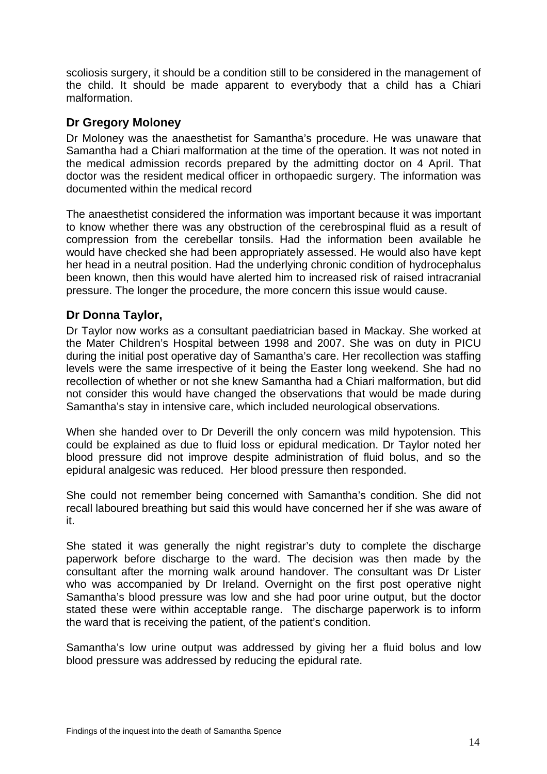scoliosis surgery, it should be a condition still to be considered in the management of the child. It should be made apparent to everybody that a child has a Chiari malformation.

## **Dr Gregory Moloney**

Dr Moloney was the anaesthetist for Samantha's procedure. He was unaware that Samantha had a Chiari malformation at the time of the operation. It was not noted in the medical admission records prepared by the admitting doctor on 4 April. That doctor was the resident medical officer in orthopaedic surgery. The information was documented within the medical record

The anaesthetist considered the information was important because it was important to know whether there was any obstruction of the cerebrospinal fluid as a result of compression from the cerebellar tonsils. Had the information been available he would have checked she had been appropriately assessed. He would also have kept her head in a neutral position. Had the underlying chronic condition of hydrocephalus been known, then this would have alerted him to increased risk of raised intracranial pressure. The longer the procedure, the more concern this issue would cause.

# **Dr Donna Taylor,**

Dr Taylor now works as a consultant paediatrician based in Mackay. She worked at the Mater Children's Hospital between 1998 and 2007. She was on duty in PICU during the initial post operative day of Samantha's care. Her recollection was staffing levels were the same irrespective of it being the Easter long weekend. She had no recollection of whether or not she knew Samantha had a Chiari malformation, but did not consider this would have changed the observations that would be made during Samantha's stay in intensive care, which included neurological observations.

When she handed over to Dr Deverill the only concern was mild hypotension. This could be explained as due to fluid loss or epidural medication. Dr Taylor noted her blood pressure did not improve despite administration of fluid bolus, and so the epidural analgesic was reduced. Her blood pressure then responded.

She could not remember being concerned with Samantha's condition. She did not recall laboured breathing but said this would have concerned her if she was aware of it.

She stated it was generally the night registrar's duty to complete the discharge paperwork before discharge to the ward. The decision was then made by the consultant after the morning walk around handover. The consultant was Dr Lister who was accompanied by Dr Ireland. Overnight on the first post operative night Samantha's blood pressure was low and she had poor urine output, but the doctor stated these were within acceptable range. The discharge paperwork is to inform the ward that is receiving the patient, of the patient's condition.

Samantha's low urine output was addressed by giving her a fluid bolus and low blood pressure was addressed by reducing the epidural rate.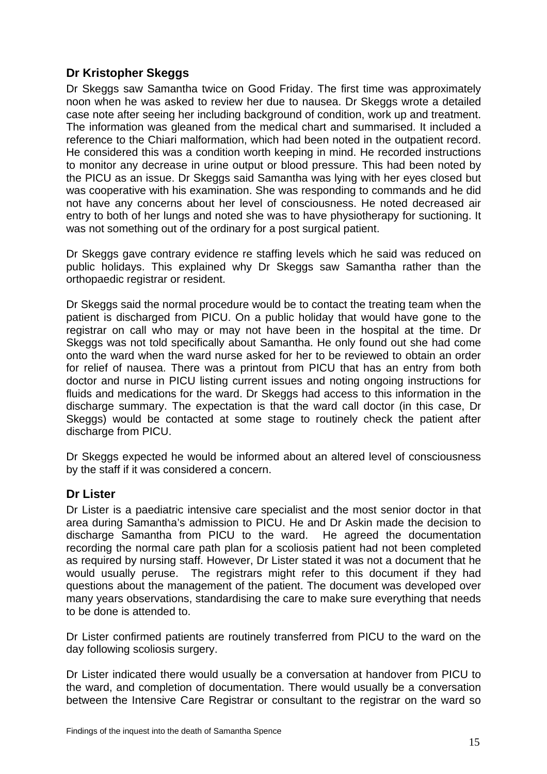# **Dr Kristopher Skeggs**

Dr Skeggs saw Samantha twice on Good Friday. The first time was approximately noon when he was asked to review her due to nausea. Dr Skeggs wrote a detailed case note after seeing her including background of condition, work up and treatment. The information was gleaned from the medical chart and summarised. It included a reference to the Chiari malformation, which had been noted in the outpatient record. He considered this was a condition worth keeping in mind. He recorded instructions to monitor any decrease in urine output or blood pressure. This had been noted by the PICU as an issue. Dr Skeggs said Samantha was lying with her eyes closed but was cooperative with his examination. She was responding to commands and he did not have any concerns about her level of consciousness. He noted decreased air entry to both of her lungs and noted she was to have physiotherapy for suctioning. It was not something out of the ordinary for a post surgical patient.

Dr Skeggs gave contrary evidence re staffing levels which he said was reduced on public holidays. This explained why Dr Skeggs saw Samantha rather than the orthopaedic registrar or resident.

Dr Skeggs said the normal procedure would be to contact the treating team when the patient is discharged from PICU. On a public holiday that would have gone to the registrar on call who may or may not have been in the hospital at the time. Dr Skeggs was not told specifically about Samantha. He only found out she had come onto the ward when the ward nurse asked for her to be reviewed to obtain an order for relief of nausea. There was a printout from PICU that has an entry from both doctor and nurse in PICU listing current issues and noting ongoing instructions for fluids and medications for the ward. Dr Skeggs had access to this information in the discharge summary. The expectation is that the ward call doctor (in this case, Dr Skeggs) would be contacted at some stage to routinely check the patient after discharge from PICU.

Dr Skeggs expected he would be informed about an altered level of consciousness by the staff if it was considered a concern.

## **Dr Lister**

Dr Lister is a paediatric intensive care specialist and the most senior doctor in that area during Samantha's admission to PICU. He and Dr Askin made the decision to discharge Samantha from PICU to the ward. He agreed the documentation recording the normal care path plan for a scoliosis patient had not been completed as required by nursing staff. However, Dr Lister stated it was not a document that he would usually peruse. The registrars might refer to this document if they had questions about the management of the patient. The document was developed over many years observations, standardising the care to make sure everything that needs to be done is attended to.

Dr Lister confirmed patients are routinely transferred from PICU to the ward on the day following scoliosis surgery.

Dr Lister indicated there would usually be a conversation at handover from PICU to the ward, and completion of documentation. There would usually be a conversation between the Intensive Care Registrar or consultant to the registrar on the ward so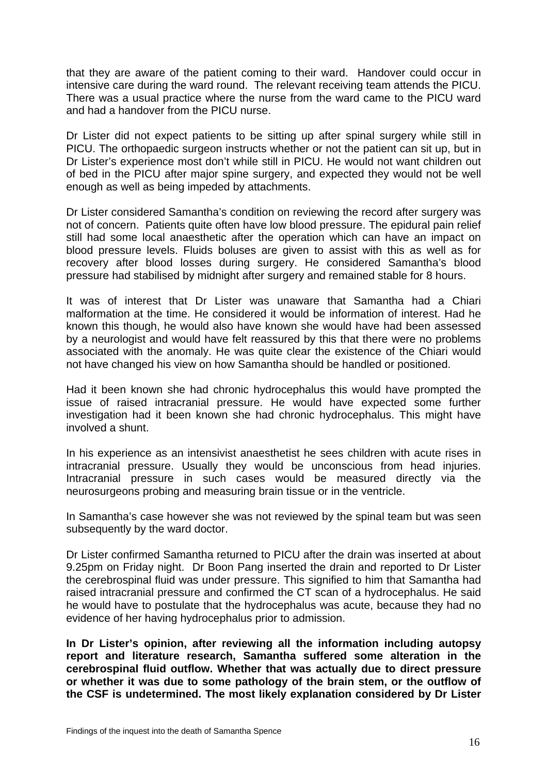that they are aware of the patient coming to their ward. Handover could occur in intensive care during the ward round. The relevant receiving team attends the PICU. There was a usual practice where the nurse from the ward came to the PICU ward and had a handover from the PICU nurse.

Dr Lister did not expect patients to be sitting up after spinal surgery while still in PICU. The orthopaedic surgeon instructs whether or not the patient can sit up, but in Dr Lister's experience most don't while still in PICU. He would not want children out of bed in the PICU after major spine surgery, and expected they would not be well enough as well as being impeded by attachments.

Dr Lister considered Samantha's condition on reviewing the record after surgery was not of concern. Patients quite often have low blood pressure. The epidural pain relief still had some local anaesthetic after the operation which can have an impact on blood pressure levels. Fluids boluses are given to assist with this as well as for recovery after blood losses during surgery. He considered Samantha's blood pressure had stabilised by midnight after surgery and remained stable for 8 hours.

It was of interest that Dr Lister was unaware that Samantha had a Chiari malformation at the time. He considered it would be information of interest. Had he known this though, he would also have known she would have had been assessed by a neurologist and would have felt reassured by this that there were no problems associated with the anomaly. He was quite clear the existence of the Chiari would not have changed his view on how Samantha should be handled or positioned.

Had it been known she had chronic hydrocephalus this would have prompted the issue of raised intracranial pressure. He would have expected some further investigation had it been known she had chronic hydrocephalus. This might have involved a shunt.

In his experience as an intensivist anaesthetist he sees children with acute rises in intracranial pressure. Usually they would be unconscious from head injuries. Intracranial pressure in such cases would be measured directly via the neurosurgeons probing and measuring brain tissue or in the ventricle.

In Samantha's case however she was not reviewed by the spinal team but was seen subsequently by the ward doctor.

Dr Lister confirmed Samantha returned to PICU after the drain was inserted at about 9.25pm on Friday night. Dr Boon Pang inserted the drain and reported to Dr Lister the cerebrospinal fluid was under pressure. This signified to him that Samantha had raised intracranial pressure and confirmed the CT scan of a hydrocephalus. He said he would have to postulate that the hydrocephalus was acute, because they had no evidence of her having hydrocephalus prior to admission.

**In Dr Lister's opinion, after reviewing all the information including autopsy report and literature research, Samantha suffered some alteration in the cerebrospinal fluid outflow. Whether that was actually due to direct pressure or whether it was due to some pathology of the brain stem, or the outflow of the CSF is undetermined. The most likely explanation considered by Dr Lister**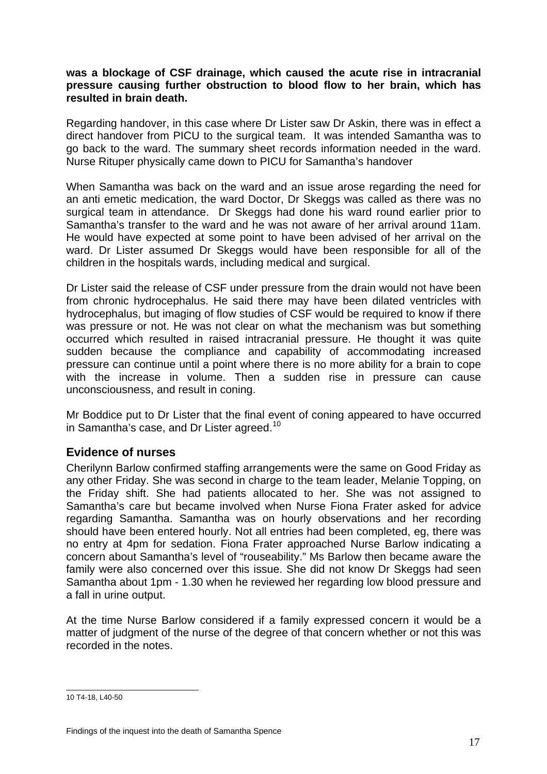#### **was a blockage of CSF drainage, which caused the acute rise in intracranial pressure causing further obstruction to blood flow to her brain, which has resulted in brain death.**

Regarding handover, in this case where Dr Lister saw Dr Askin, there was in effect a direct handover from PICU to the surgical team. It was intended Samantha was to go back to the ward. The summary sheet records information needed in the ward. Nurse Rituper physically came down to PICU for Samantha's handover

When Samantha was back on the ward and an issue arose regarding the need for an anti emetic medication, the ward Doctor, Dr Skeggs was called as there was no surgical team in attendance. Dr Skeggs had done his ward round earlier prior to Samantha's transfer to the ward and he was not aware of her arrival around 11am. He would have expected at some point to have been advised of her arrival on the ward. Dr Lister assumed Dr Skeggs would have been responsible for all of the children in the hospitals wards, including medical and surgical.

Dr Lister said the release of CSF under pressure from the drain would not have been from chronic hydrocephalus. He said there may have been dilated ventricles with hydrocephalus, but imaging of flow studies of CSF would be required to know if there was pressure or not. He was not clear on what the mechanism was but something occurred which resulted in raised intracranial pressure. He thought it was quite sudden because the compliance and capability of accommodating increased pressure can continue until a point where there is no more ability for a brain to cope with the increase in volume. Then a sudden rise in pressure can cause unconsciousness, and result in coning.

Mr Boddice put to Dr Lister that the final event of coning appeared to have occurred in Samantha's case, and Dr Lister agreed.<sup>[10](#page-17-0)</sup>

## **Evidence of nurses**

Cherilynn Barlow confirmed staffing arrangements were the same on Good Friday as any other Friday. She was second in charge to the team leader, Melanie Topping, on the Friday shift. She had patients allocated to her. She was not assigned to Samantha's care but became involved when Nurse Fiona Frater asked for advice regarding Samantha. Samantha was on hourly observations and her recording should have been entered hourly. Not all entries had been completed, eg, there was no entry at 4pm for sedation. Fiona Frater approached Nurse Barlow indicating a concern about Samantha's level of "rouseability." Ms Barlow then became aware the family were also concerned over this issue. She did not know Dr Skeggs had seen Samantha about 1pm - 1.30 when he reviewed her regarding low blood pressure and a fall in urine output.

At the time Nurse Barlow considered if a family expressed concern it would be a matter of judgment of the nurse of the degree of that concern whether or not this was recorded in the notes.

<span id="page-17-0"></span> 10 T4-18, L40-50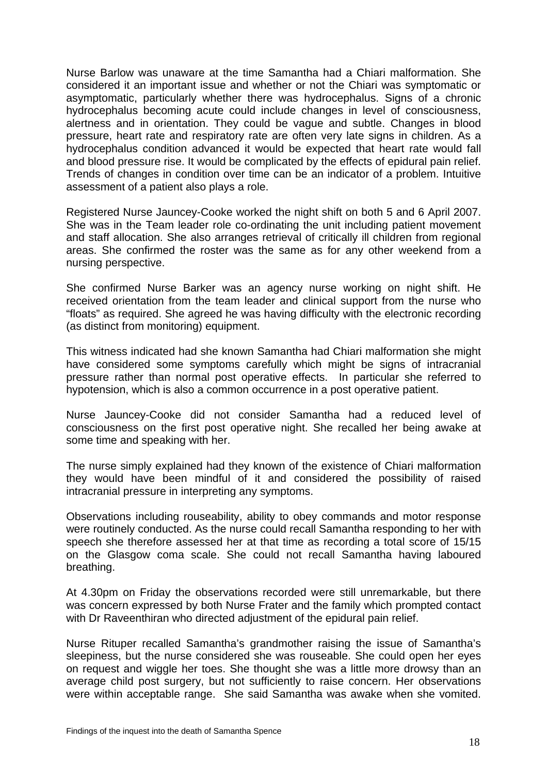Nurse Barlow was unaware at the time Samantha had a Chiari malformation. She considered it an important issue and whether or not the Chiari was symptomatic or asymptomatic, particularly whether there was hydrocephalus. Signs of a chronic hydrocephalus becoming acute could include changes in level of consciousness, alertness and in orientation. They could be vague and subtle. Changes in blood pressure, heart rate and respiratory rate are often very late signs in children. As a hydrocephalus condition advanced it would be expected that heart rate would fall and blood pressure rise. It would be complicated by the effects of epidural pain relief. Trends of changes in condition over time can be an indicator of a problem. Intuitive assessment of a patient also plays a role.

Registered Nurse Jauncey-Cooke worked the night shift on both 5 and 6 April 2007. She was in the Team leader role co-ordinating the unit including patient movement and staff allocation. She also arranges retrieval of critically ill children from regional areas. She confirmed the roster was the same as for any other weekend from a nursing perspective.

She confirmed Nurse Barker was an agency nurse working on night shift. He received orientation from the team leader and clinical support from the nurse who "floats" as required. She agreed he was having difficulty with the electronic recording (as distinct from monitoring) equipment.

This witness indicated had she known Samantha had Chiari malformation she might have considered some symptoms carefully which might be signs of intracranial pressure rather than normal post operative effects. In particular she referred to hypotension, which is also a common occurrence in a post operative patient.

Nurse Jauncey-Cooke did not consider Samantha had a reduced level of consciousness on the first post operative night. She recalled her being awake at some time and speaking with her.

The nurse simply explained had they known of the existence of Chiari malformation they would have been mindful of it and considered the possibility of raised intracranial pressure in interpreting any symptoms.

Observations including rouseability, ability to obey commands and motor response were routinely conducted. As the nurse could recall Samantha responding to her with speech she therefore assessed her at that time as recording a total score of 15/15 on the Glasgow coma scale. She could not recall Samantha having laboured breathing.

At 4.30pm on Friday the observations recorded were still unremarkable, but there was concern expressed by both Nurse Frater and the family which prompted contact with Dr Raveenthiran who directed adjustment of the epidural pain relief.

Nurse Rituper recalled Samantha's grandmother raising the issue of Samantha's sleepiness, but the nurse considered she was rouseable. She could open her eyes on request and wiggle her toes. She thought she was a little more drowsy than an average child post surgery, but not sufficiently to raise concern. Her observations were within acceptable range. She said Samantha was awake when she vomited.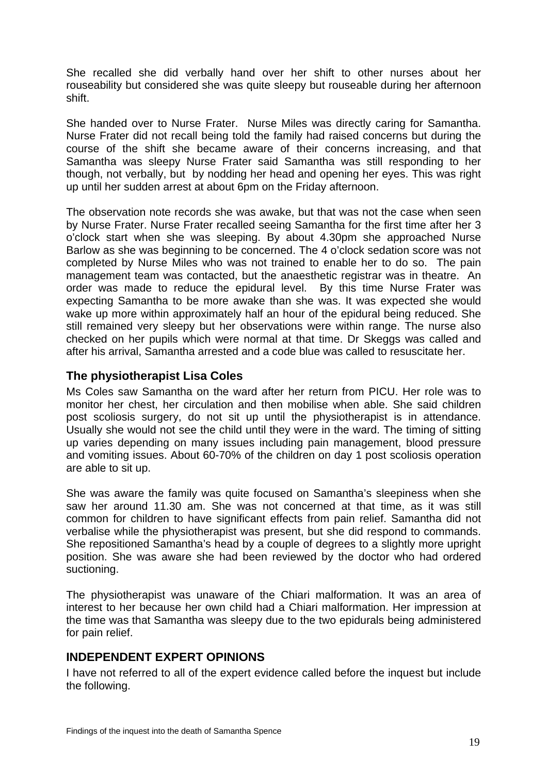She recalled she did verbally hand over her shift to other nurses about her rouseability but considered she was quite sleepy but rouseable during her afternoon shift.

She handed over to Nurse Frater. Nurse Miles was directly caring for Samantha. Nurse Frater did not recall being told the family had raised concerns but during the course of the shift she became aware of their concerns increasing, and that Samantha was sleepy Nurse Frater said Samantha was still responding to her though, not verbally, but by nodding her head and opening her eyes. This was right up until her sudden arrest at about 6pm on the Friday afternoon.

The observation note records she was awake, but that was not the case when seen by Nurse Frater. Nurse Frater recalled seeing Samantha for the first time after her 3 o'clock start when she was sleeping. By about 4.30pm she approached Nurse Barlow as she was beginning to be concerned. The 4 o'clock sedation score was not completed by Nurse Miles who was not trained to enable her to do so. The pain management team was contacted, but the anaesthetic registrar was in theatre. An order was made to reduce the epidural level. By this time Nurse Frater was expecting Samantha to be more awake than she was. It was expected she would wake up more within approximately half an hour of the epidural being reduced. She still remained very sleepy but her observations were within range. The nurse also checked on her pupils which were normal at that time. Dr Skeggs was called and after his arrival, Samantha arrested and a code blue was called to resuscitate her.

## **The physiotherapist Lisa Coles**

Ms Coles saw Samantha on the ward after her return from PICU. Her role was to monitor her chest, her circulation and then mobilise when able. She said children post scoliosis surgery, do not sit up until the physiotherapist is in attendance. Usually she would not see the child until they were in the ward. The timing of sitting up varies depending on many issues including pain management, blood pressure and vomiting issues. About 60-70% of the children on day 1 post scoliosis operation are able to sit up.

She was aware the family was quite focused on Samantha's sleepiness when she saw her around 11.30 am. She was not concerned at that time, as it was still common for children to have significant effects from pain relief. Samantha did not verbalise while the physiotherapist was present, but she did respond to commands. She repositioned Samantha's head by a couple of degrees to a slightly more upright position. She was aware she had been reviewed by the doctor who had ordered suctioning.

The physiotherapist was unaware of the Chiari malformation. It was an area of interest to her because her own child had a Chiari malformation. Her impression at the time was that Samantha was sleepy due to the two epidurals being administered for pain relief.

## **INDEPENDENT EXPERT OPINIONS**

I have not referred to all of the expert evidence called before the inquest but include the following.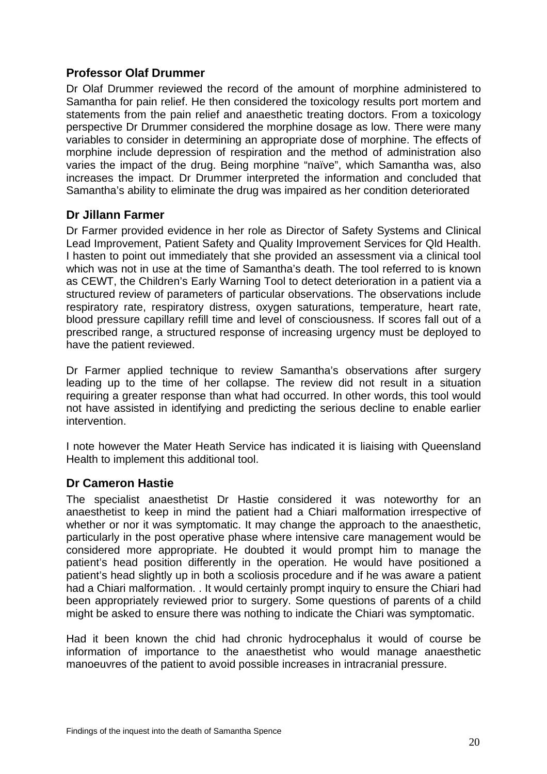## **Professor Olaf Drummer**

Dr Olaf Drummer reviewed the record of the amount of morphine administered to Samantha for pain relief. He then considered the toxicology results port mortem and statements from the pain relief and anaesthetic treating doctors. From a toxicology perspective Dr Drummer considered the morphine dosage as low. There were many variables to consider in determining an appropriate dose of morphine. The effects of morphine include depression of respiration and the method of administration also varies the impact of the drug. Being morphine "naïve", which Samantha was, also increases the impact. Dr Drummer interpreted the information and concluded that Samantha's ability to eliminate the drug was impaired as her condition deteriorated

## **Dr Jillann Farmer**

Dr Farmer provided evidence in her role as Director of Safety Systems and Clinical Lead Improvement, Patient Safety and Quality Improvement Services for Qld Health. I hasten to point out immediately that she provided an assessment via a clinical tool which was not in use at the time of Samantha's death. The tool referred to is known as CEWT, the Children's Early Warning Tool to detect deterioration in a patient via a structured review of parameters of particular observations. The observations include respiratory rate, respiratory distress, oxygen saturations, temperature, heart rate, blood pressure capillary refill time and level of consciousness. If scores fall out of a prescribed range, a structured response of increasing urgency must be deployed to have the patient reviewed.

Dr Farmer applied technique to review Samantha's observations after surgery leading up to the time of her collapse. The review did not result in a situation requiring a greater response than what had occurred. In other words, this tool would not have assisted in identifying and predicting the serious decline to enable earlier intervention.

I note however the Mater Heath Service has indicated it is liaising with Queensland Health to implement this additional tool.

## **Dr Cameron Hastie**

The specialist anaesthetist Dr Hastie considered it was noteworthy for an anaesthetist to keep in mind the patient had a Chiari malformation irrespective of whether or nor it was symptomatic. It may change the approach to the anaesthetic, particularly in the post operative phase where intensive care management would be considered more appropriate. He doubted it would prompt him to manage the patient's head position differently in the operation. He would have positioned a patient's head slightly up in both a scoliosis procedure and if he was aware a patient had a Chiari malformation. . It would certainly prompt inquiry to ensure the Chiari had been appropriately reviewed prior to surgery. Some questions of parents of a child might be asked to ensure there was nothing to indicate the Chiari was symptomatic.

Had it been known the chid had chronic hydrocephalus it would of course be information of importance to the anaesthetist who would manage anaesthetic manoeuvres of the patient to avoid possible increases in intracranial pressure.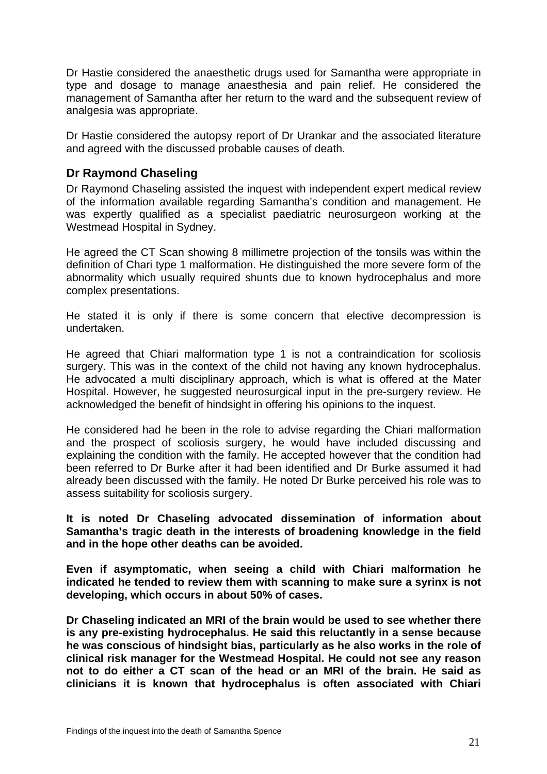Dr Hastie considered the anaesthetic drugs used for Samantha were appropriate in type and dosage to manage anaesthesia and pain relief. He considered the management of Samantha after her return to the ward and the subsequent review of analgesia was appropriate.

Dr Hastie considered the autopsy report of Dr Urankar and the associated literature and agreed with the discussed probable causes of death.

## **Dr Raymond Chaseling**

Dr Raymond Chaseling assisted the inquest with independent expert medical review of the information available regarding Samantha's condition and management. He was expertly qualified as a specialist paediatric neurosurgeon working at the Westmead Hospital in Sydney.

He agreed the CT Scan showing 8 millimetre projection of the tonsils was within the definition of Chari type 1 malformation. He distinguished the more severe form of the abnormality which usually required shunts due to known hydrocephalus and more complex presentations.

He stated it is only if there is some concern that elective decompression is undertaken.

He agreed that Chiari malformation type 1 is not a contraindication for scoliosis surgery. This was in the context of the child not having any known hydrocephalus. He advocated a multi disciplinary approach, which is what is offered at the Mater Hospital. However, he suggested neurosurgical input in the pre-surgery review. He acknowledged the benefit of hindsight in offering his opinions to the inquest.

He considered had he been in the role to advise regarding the Chiari malformation and the prospect of scoliosis surgery, he would have included discussing and explaining the condition with the family. He accepted however that the condition had been referred to Dr Burke after it had been identified and Dr Burke assumed it had already been discussed with the family. He noted Dr Burke perceived his role was to assess suitability for scoliosis surgery.

**It is noted Dr Chaseling advocated dissemination of information about Samantha's tragic death in the interests of broadening knowledge in the field and in the hope other deaths can be avoided.** 

**Even if asymptomatic, when seeing a child with Chiari malformation he indicated he tended to review them with scanning to make sure a syrinx is not developing, which occurs in about 50% of cases.** 

**Dr Chaseling indicated an MRI of the brain would be used to see whether there is any pre-existing hydrocephalus. He said this reluctantly in a sense because he was conscious of hindsight bias, particularly as he also works in the role of clinical risk manager for the Westmead Hospital. He could not see any reason not to do either a CT scan of the head or an MRI of the brain. He said as clinicians it is known that hydrocephalus is often associated with Chiari**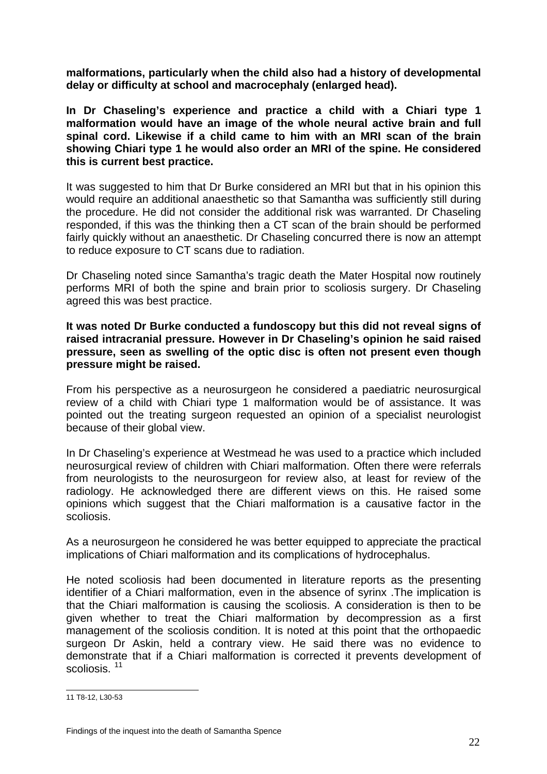**malformations, particularly when the child also had a history of developmental delay or difficulty at school and macrocephaly (enlarged head).** 

**In Dr Chaseling's experience and practice a child with a Chiari type 1 malformation would have an image of the whole neural active brain and full spinal cord. Likewise if a child came to him with an MRI scan of the brain showing Chiari type 1 he would also order an MRI of the spine. He considered this is current best practice.** 

It was suggested to him that Dr Burke considered an MRI but that in his opinion this would require an additional anaesthetic so that Samantha was sufficiently still during the procedure. He did not consider the additional risk was warranted. Dr Chaseling responded, if this was the thinking then a CT scan of the brain should be performed fairly quickly without an anaesthetic. Dr Chaseling concurred there is now an attempt to reduce exposure to CT scans due to radiation.

Dr Chaseling noted since Samantha's tragic death the Mater Hospital now routinely performs MRI of both the spine and brain prior to scoliosis surgery. Dr Chaseling agreed this was best practice.

**It was noted Dr Burke conducted a fundoscopy but this did not reveal signs of raised intracranial pressure. However in Dr Chaseling's opinion he said raised pressure, seen as swelling of the optic disc is often not present even though pressure might be raised.** 

From his perspective as a neurosurgeon he considered a paediatric neurosurgical review of a child with Chiari type 1 malformation would be of assistance. It was pointed out the treating surgeon requested an opinion of a specialist neurologist because of their global view.

In Dr Chaseling's experience at Westmead he was used to a practice which included neurosurgical review of children with Chiari malformation. Often there were referrals from neurologists to the neurosurgeon for review also, at least for review of the radiology. He acknowledged there are different views on this. He raised some opinions which suggest that the Chiari malformation is a causative factor in the scoliosis.

As a neurosurgeon he considered he was better equipped to appreciate the practical implications of Chiari malformation and its complications of hydrocephalus.

He noted scoliosis had been documented in literature reports as the presenting identifier of a Chiari malformation, even in the absence of syrinx .The implication is that the Chiari malformation is causing the scoliosis. A consideration is then to be given whether to treat the Chiari malformation by decompression as a first management of the scoliosis condition. It is noted at this point that the orthopaedic surgeon Dr Askin, held a contrary view. He said there was no evidence to demonstrate that if a Chiari malformation is corrected it prevents development of scoliosis.<sup>[11](#page-22-0)</sup>

<span id="page-22-0"></span> 11 T8-12, L30-53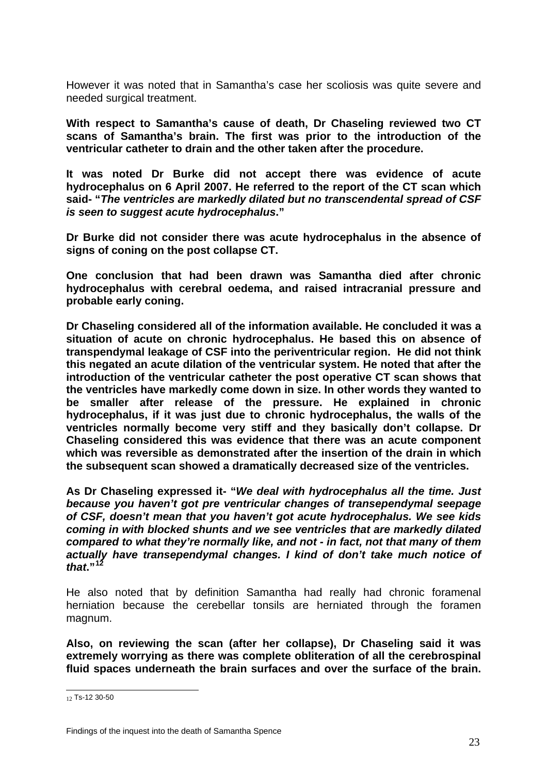However it was noted that in Samantha's case her scoliosis was quite severe and needed surgical treatment.

**With respect to Samantha's cause of death, Dr Chaseling reviewed two CT scans of Samantha's brain. The first was prior to the introduction of the ventricular catheter to drain and the other taken after the procedure.** 

**It was noted Dr Burke did not accept there was evidence of acute hydrocephalus on 6 April 2007. He referred to the report of the CT scan which said- "***The ventricles are markedly dilated but no transcendental spread of CSF is seen to suggest acute hydrocephalus***."** 

**Dr Burke did not consider there was acute hydrocephalus in the absence of signs of coning on the post collapse CT.** 

**One conclusion that had been drawn was Samantha died after chronic hydrocephalus with cerebral oedema, and raised intracranial pressure and probable early coning.** 

**Dr Chaseling considered all of the information available. He concluded it was a situation of acute on chronic hydrocephalus. He based this on absence of transpendymal leakage of CSF into the periventricular region. He did not think this negated an acute dilation of the ventricular system. He noted that after the introduction of the ventricular catheter the post operative CT scan shows that the ventricles have markedly come down in size. In other words they wanted to be smaller after release of the pressure. He explained in chronic hydrocephalus, if it was just due to chronic hydrocephalus, the walls of the ventricles normally become very stiff and they basically don't collapse. Dr Chaseling considered this was evidence that there was an acute component which was reversible as demonstrated after the insertion of the drain in which the subsequent scan showed a dramatically decreased size of the ventricles.** 

**As Dr Chaseling expressed it- "***We deal with hydrocephalus all the time. Just because you haven't got pre ventricular changes of transependymal seepage of CSF, doesn't mean that you haven't got acute hydrocephalus. We see kids coming in with blocked shunts and we see ventricles that are markedly dilated compared to what they're normally like, and not - in fact, not that many of them actually have transependymal changes. I kind of don't take much notice of that***."[12](#page-23-0)**

He also noted that by definition Samantha had really had chronic foramenal herniation because the cerebellar tonsils are herniated through the foramen magnum.

**Also, on reviewing the scan (after her collapse), Dr Chaseling said it was extremely worrying as there was complete obliteration of all the cerebrospinal fluid spaces underneath the brain surfaces and over the surface of the brain.** 

<span id="page-23-0"></span> $\overline{a}$ 12 Ts-12 30-50

 Findings of the inquest into the death of Samantha Spence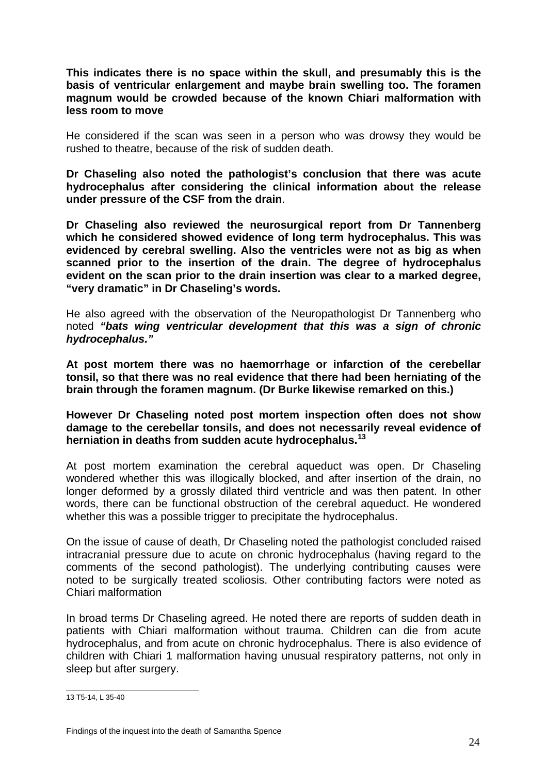**This indicates there is no space within the skull, and presumably this is the basis of ventricular enlargement and maybe brain swelling too. The foramen magnum would be crowded because of the known Chiari malformation with less room to move** 

He considered if the scan was seen in a person who was drowsy they would be rushed to theatre, because of the risk of sudden death.

**Dr Chaseling also noted the pathologist's conclusion that there was acute hydrocephalus after considering the clinical information about the release under pressure of the CSF from the drain**.

**Dr Chaseling also reviewed the neurosurgical report from Dr Tannenberg which he considered showed evidence of long term hydrocephalus. This was evidenced by cerebral swelling. Also the ventricles were not as big as when scanned prior to the insertion of the drain. The degree of hydrocephalus evident on the scan prior to the drain insertion was clear to a marked degree, "very dramatic" in Dr Chaseling's words.** 

He also agreed with the observation of the Neuropathologist Dr Tannenberg who noted *"bats wing ventricular development that this was a sign of chronic hydrocephalus."* 

**At post mortem there was no haemorrhage or infarction of the cerebellar tonsil, so that there was no real evidence that there had been herniating of the brain through the foramen magnum. (Dr Burke likewise remarked on this.)** 

**However Dr Chaseling noted post mortem inspection often does not show damage to the cerebellar tonsils, and does not necessarily reveal evidence of herniation in deaths from sudden acute hydrocephalus.[13](#page-24-0)** 

At post mortem examination the cerebral aqueduct was open. Dr Chaseling wondered whether this was illogically blocked, and after insertion of the drain, no longer deformed by a grossly dilated third ventricle and was then patent. In other words, there can be functional obstruction of the cerebral aqueduct. He wondered whether this was a possible trigger to precipitate the hydrocephalus.

On the issue of cause of death, Dr Chaseling noted the pathologist concluded raised intracranial pressure due to acute on chronic hydrocephalus (having regard to the comments of the second pathologist). The underlying contributing causes were noted to be surgically treated scoliosis. Other contributing factors were noted as Chiari malformation

In broad terms Dr Chaseling agreed. He noted there are reports of sudden death in patients with Chiari malformation without trauma. Children can die from acute hydrocephalus, and from acute on chronic hydrocephalus. There is also evidence of children with Chiari 1 malformation having unusual respiratory patterns, not only in sleep but after surgery.

<span id="page-24-0"></span> 13 T5-14, L 35-40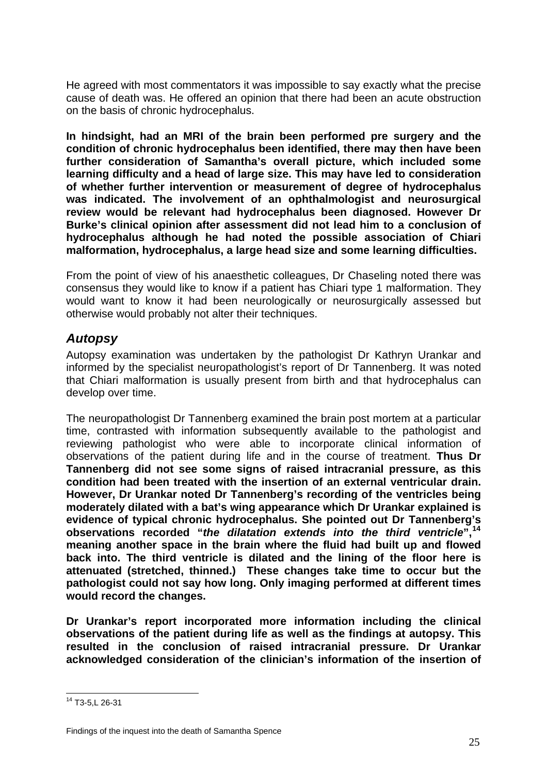He agreed with most commentators it was impossible to say exactly what the precise cause of death was. He offered an opinion that there had been an acute obstruction on the basis of chronic hydrocephalus.

**In hindsight, had an MRI of the brain been performed pre surgery and the condition of chronic hydrocephalus been identified, there may then have been further consideration of Samantha's overall picture, which included some learning difficulty and a head of large size. This may have led to consideration of whether further intervention or measurement of degree of hydrocephalus was indicated. The involvement of an ophthalmologist and neurosurgical review would be relevant had hydrocephalus been diagnosed. However Dr Burke's clinical opinion after assessment did not lead him to a conclusion of hydrocephalus although he had noted the possible association of Chiari malformation, hydrocephalus, a large head size and some learning difficulties.** 

From the point of view of his anaesthetic colleagues, Dr Chaseling noted there was consensus they would like to know if a patient has Chiari type 1 malformation. They would want to know it had been neurologically or neurosurgically assessed but otherwise would probably not alter their techniques.

# *Autopsy*

Autopsy examination was undertaken by the pathologist Dr Kathryn Urankar and informed by the specialist neuropathologist's report of Dr Tannenberg. It was noted that Chiari malformation is usually present from birth and that hydrocephalus can develop over time.

The neuropathologist Dr Tannenberg examined the brain post mortem at a particular time, contrasted with information subsequently available to the pathologist and reviewing pathologist who were able to incorporate clinical information of observations of the patient during life and in the course of treatment. **Thus Dr Tannenberg did not see some signs of raised intracranial pressure, as this condition had been treated with the insertion of an external ventricular drain. However, Dr Urankar noted Dr Tannenberg's recording of the ventricles being moderately dilated with a bat's wing appearance which Dr Urankar explained is evidence of typical chronic hydrocephalus. She pointed out Dr Tannenberg's observations recorded "***the dilatation extends into the third ventricle***",[14](#page-25-0) meaning another space in the brain where the fluid had built up and flowed back into. The third ventricle is dilated and the lining of the floor here is attenuated (stretched, thinned.) These changes take time to occur but the pathologist could not say how long. Only imaging performed at different times would record the changes.** 

**Dr Urankar's report incorporated more information including the clinical observations of the patient during life as well as the findings at autopsy. This resulted in the conclusion of raised intracranial pressure. Dr Urankar acknowledged consideration of the clinician's information of the insertion of** 

<span id="page-25-0"></span> $\overline{a}$ 14 T3-5,L 26-31

 Findings of the inquest into the death of Samantha Spence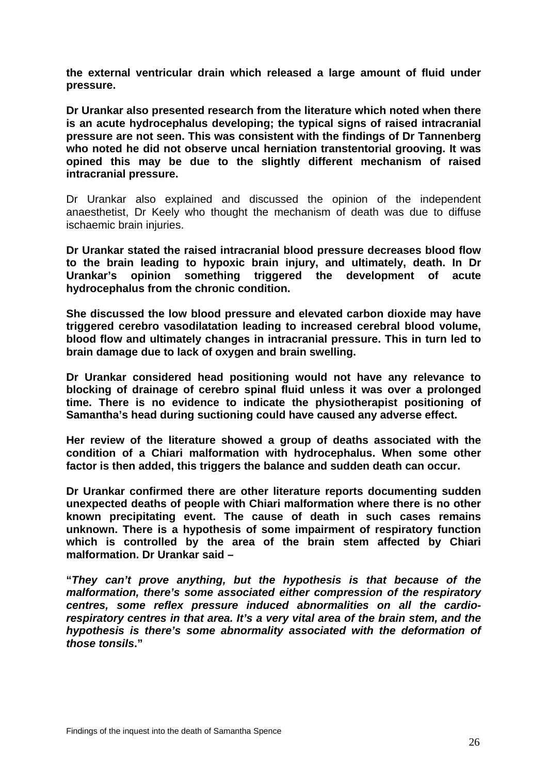**the external ventricular drain which released a large amount of fluid under pressure.** 

**Dr Urankar also presented research from the literature which noted when there is an acute hydrocephalus developing; the typical signs of raised intracranial pressure are not seen. This was consistent with the findings of Dr Tannenberg who noted he did not observe uncal herniation transtentorial grooving. It was opined this may be due to the slightly different mechanism of raised intracranial pressure.** 

Dr Urankar also explained and discussed the opinion of the independent anaesthetist, Dr Keely who thought the mechanism of death was due to diffuse ischaemic brain injuries.

**Dr Urankar stated the raised intracranial blood pressure decreases blood flow to the brain leading to hypoxic brain injury, and ultimately, death. In Dr Urankar's opinion something triggered the development of acute hydrocephalus from the chronic condition.** 

**She discussed the low blood pressure and elevated carbon dioxide may have triggered cerebro vasodilatation leading to increased cerebral blood volume, blood flow and ultimately changes in intracranial pressure. This in turn led to brain damage due to lack of oxygen and brain swelling.** 

**Dr Urankar considered head positioning would not have any relevance to blocking of drainage of cerebro spinal fluid unless it was over a prolonged time. There is no evidence to indicate the physiotherapist positioning of Samantha's head during suctioning could have caused any adverse effect.** 

**Her review of the literature showed a group of deaths associated with the condition of a Chiari malformation with hydrocephalus. When some other factor is then added, this triggers the balance and sudden death can occur.** 

**Dr Urankar confirmed there are other literature reports documenting sudden unexpected deaths of people with Chiari malformation where there is no other known precipitating event. The cause of death in such cases remains unknown. There is a hypothesis of some impairment of respiratory function which is controlled by the area of the brain stem affected by Chiari malformation. Dr Urankar said –** 

**"***They can't prove anything, but the hypothesis is that because of the malformation, there's some associated either compression of the respiratory centres, some reflex pressure induced abnormalities on all the cardiorespiratory centres in that area. It's a very vital area of the brain stem, and the hypothesis is there's some abnormality associated with the deformation of those tonsils***."**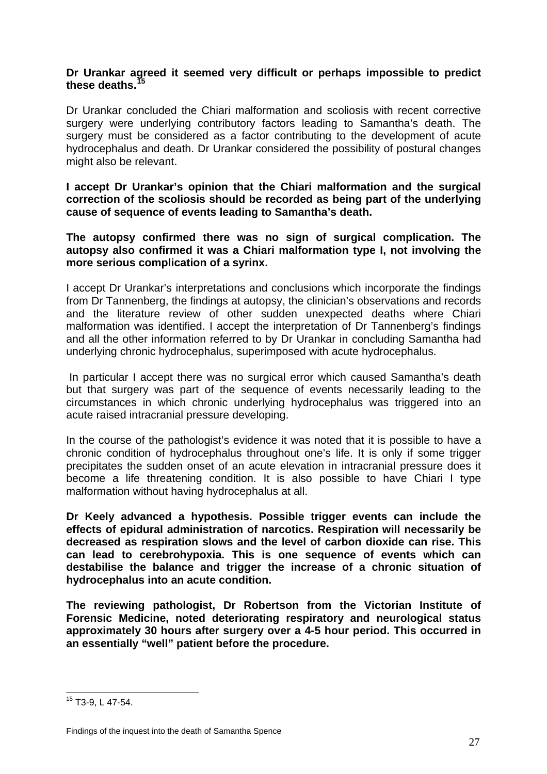#### **Dr Urankar agreed it seemed very difficult or perhaps impossible to predict these deaths.[15](#page-27-0)**

Dr Urankar concluded the Chiari malformation and scoliosis with recent corrective surgery were underlying contributory factors leading to Samantha's death. The surgery must be considered as a factor contributing to the development of acute hydrocephalus and death. Dr Urankar considered the possibility of postural changes might also be relevant.

**I accept Dr Urankar's opinion that the Chiari malformation and the surgical correction of the scoliosis should be recorded as being part of the underlying cause of sequence of events leading to Samantha's death.** 

#### **The autopsy confirmed there was no sign of surgical complication. The autopsy also confirmed it was a Chiari malformation type I, not involving the more serious complication of a syrinx.**

I accept Dr Urankar's interpretations and conclusions which incorporate the findings from Dr Tannenberg, the findings at autopsy, the clinician's observations and records and the literature review of other sudden unexpected deaths where Chiari malformation was identified. I accept the interpretation of Dr Tannenberg's findings and all the other information referred to by Dr Urankar in concluding Samantha had underlying chronic hydrocephalus, superimposed with acute hydrocephalus.

 In particular I accept there was no surgical error which caused Samantha's death but that surgery was part of the sequence of events necessarily leading to the circumstances in which chronic underlying hydrocephalus was triggered into an acute raised intracranial pressure developing.

In the course of the pathologist's evidence it was noted that it is possible to have a chronic condition of hydrocephalus throughout one's life. It is only if some trigger precipitates the sudden onset of an acute elevation in intracranial pressure does it become a life threatening condition. It is also possible to have Chiari I type malformation without having hydrocephalus at all.

**Dr Keely advanced a hypothesis. Possible trigger events can include the effects of epidural administration of narcotics. Respiration will necessarily be decreased as respiration slows and the level of carbon dioxide can rise. This can lead to cerebrohypoxia. This is one sequence of events which can destabilise the balance and trigger the increase of a chronic situation of hydrocephalus into an acute condition.** 

**The reviewing pathologist, Dr Robertson from the Victorian Institute of Forensic Medicine, noted deteriorating respiratory and neurological status approximately 30 hours after surgery over a 4-5 hour period. This occurred in an essentially "well" patient before the procedure.** 

<span id="page-27-0"></span> $\overline{a}$ <sup>15</sup> T3-9, L 47-54.

 Findings of the inquest into the death of Samantha Spence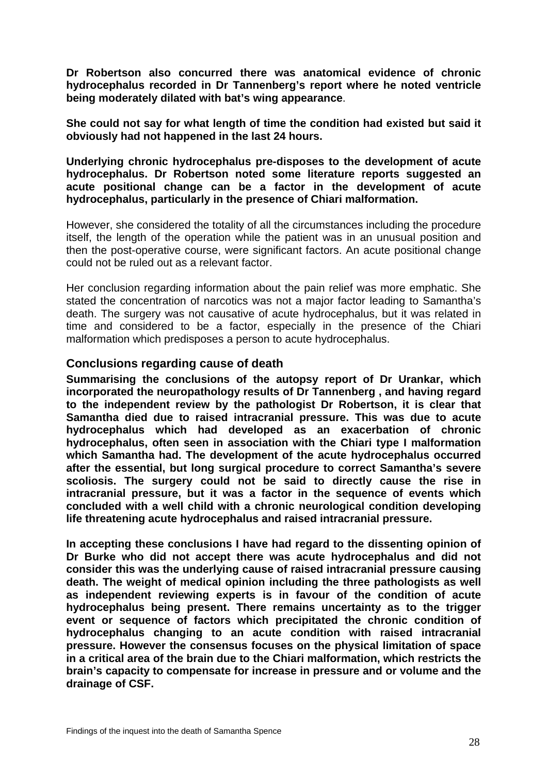**Dr Robertson also concurred there was anatomical evidence of chronic hydrocephalus recorded in Dr Tannenberg's report where he noted ventricle being moderately dilated with bat's wing appearance**.

**She could not say for what length of time the condition had existed but said it obviously had not happened in the last 24 hours.** 

**Underlying chronic hydrocephalus pre-disposes to the development of acute hydrocephalus. Dr Robertson noted some literature reports suggested an acute positional change can be a factor in the development of acute hydrocephalus, particularly in the presence of Chiari malformation.** 

However, she considered the totality of all the circumstances including the procedure itself, the length of the operation while the patient was in an unusual position and then the post-operative course, were significant factors. An acute positional change could not be ruled out as a relevant factor.

Her conclusion regarding information about the pain relief was more emphatic. She stated the concentration of narcotics was not a major factor leading to Samantha's death. The surgery was not causative of acute hydrocephalus, but it was related in time and considered to be a factor, especially in the presence of the Chiari malformation which predisposes a person to acute hydrocephalus.

#### **Conclusions regarding cause of death**

**Summarising the conclusions of the autopsy report of Dr Urankar, which incorporated the neuropathology results of Dr Tannenberg , and having regard to the independent review by the pathologist Dr Robertson, it is clear that Samantha died due to raised intracranial pressure. This was due to acute hydrocephalus which had developed as an exacerbation of chronic hydrocephalus, often seen in association with the Chiari type I malformation which Samantha had. The development of the acute hydrocephalus occurred after the essential, but long surgical procedure to correct Samantha's severe scoliosis. The surgery could not be said to directly cause the rise in intracranial pressure, but it was a factor in the sequence of events which concluded with a well child with a chronic neurological condition developing life threatening acute hydrocephalus and raised intracranial pressure.** 

**In accepting these conclusions I have had regard to the dissenting opinion of Dr Burke who did not accept there was acute hydrocephalus and did not consider this was the underlying cause of raised intracranial pressure causing death. The weight of medical opinion including the three pathologists as well as independent reviewing experts is in favour of the condition of acute hydrocephalus being present. There remains uncertainty as to the trigger event or sequence of factors which precipitated the chronic condition of hydrocephalus changing to an acute condition with raised intracranial pressure. However the consensus focuses on the physical limitation of space in a critical area of the brain due to the Chiari malformation, which restricts the brain's capacity to compensate for increase in pressure and or volume and the drainage of CSF.**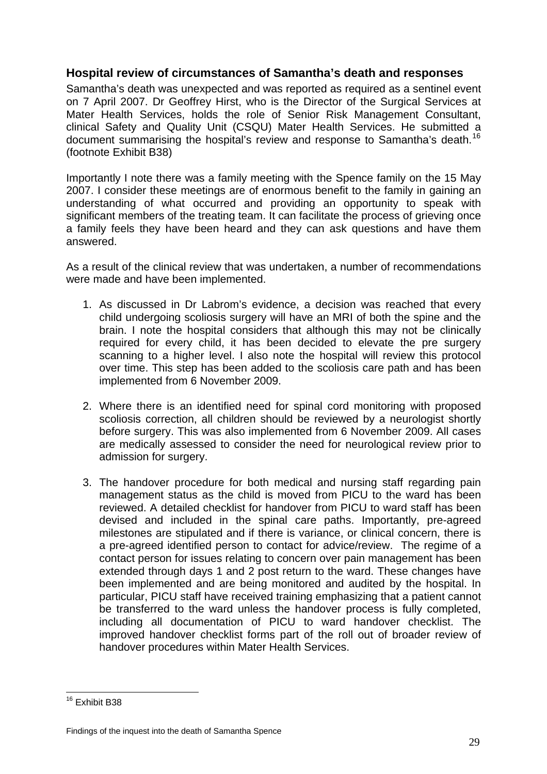#### **Hospital review of circumstances of Samantha's death and responses**

Samantha's death was unexpected and was reported as required as a sentinel event on 7 April 2007. Dr Geoffrey Hirst, who is the Director of the Surgical Services at Mater Health Services, holds the role of Senior Risk Management Consultant, clinical Safety and Quality Unit (CSQU) Mater Health Services. He submitted a document summarising the hospital's review and response to Samantha's death.<sup>[16](#page-29-0)</sup> (footnote Exhibit B38)

Importantly I note there was a family meeting with the Spence family on the 15 May 2007. I consider these meetings are of enormous benefit to the family in gaining an understanding of what occurred and providing an opportunity to speak with significant members of the treating team. It can facilitate the process of grieving once a family feels they have been heard and they can ask questions and have them answered.

As a result of the clinical review that was undertaken, a number of recommendations were made and have been implemented.

- 1. As discussed in Dr Labrom's evidence, a decision was reached that every child undergoing scoliosis surgery will have an MRI of both the spine and the brain. I note the hospital considers that although this may not be clinically required for every child, it has been decided to elevate the pre surgery scanning to a higher level. I also note the hospital will review this protocol over time. This step has been added to the scoliosis care path and has been implemented from 6 November 2009.
- 2. Where there is an identified need for spinal cord monitoring with proposed scoliosis correction, all children should be reviewed by a neurologist shortly before surgery. This was also implemented from 6 November 2009. All cases are medically assessed to consider the need for neurological review prior to admission for surgery.
- 3. The handover procedure for both medical and nursing staff regarding pain management status as the child is moved from PICU to the ward has been reviewed. A detailed checklist for handover from PICU to ward staff has been devised and included in the spinal care paths. Importantly, pre-agreed milestones are stipulated and if there is variance, or clinical concern, there is a pre-agreed identified person to contact for advice/review. The regime of a contact person for issues relating to concern over pain management has been extended through days 1 and 2 post return to the ward. These changes have been implemented and are being monitored and audited by the hospital. In particular, PICU staff have received training emphasizing that a patient cannot be transferred to the ward unless the handover process is fully completed, including all documentation of PICU to ward handover checklist. The improved handover checklist forms part of the roll out of broader review of handover procedures within Mater Health Services.

<span id="page-29-0"></span> $\overline{a}$ <sup>16</sup> Exhibit B38

 Findings of the inquest into the death of Samantha Spence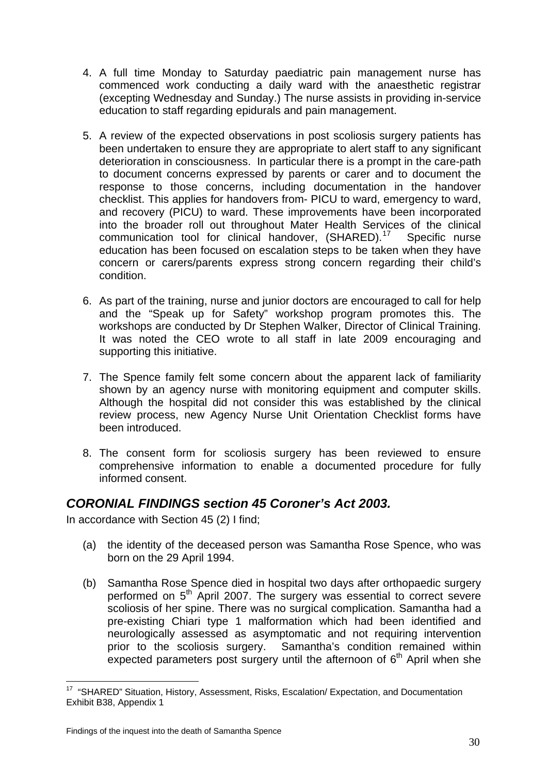- 4. A full time Monday to Saturday paediatric pain management nurse has commenced work conducting a daily ward with the anaesthetic registrar (excepting Wednesday and Sunday.) The nurse assists in providing in-service education to staff regarding epidurals and pain management.
- 5. A review of the expected observations in post scoliosis surgery patients has been undertaken to ensure they are appropriate to alert staff to any significant deterioration in consciousness. In particular there is a prompt in the care-path to document concerns expressed by parents or carer and to document the response to those concerns, including documentation in the handover checklist. This applies for handovers from- PICU to ward, emergency to ward, and recovery (PICU) to ward. These improvements have been incorporated into the broader roll out throughout Mater Health Services of the clinical communication tool for clinical handover, (SHARED).<sup>[17](#page-30-0)</sup> Specific nurse education has been focused on escalation steps to be taken when they have concern or carers/parents express strong concern regarding their child's condition.
- 6. As part of the training, nurse and junior doctors are encouraged to call for help and the "Speak up for Safety" workshop program promotes this. The workshops are conducted by Dr Stephen Walker, Director of Clinical Training. It was noted the CEO wrote to all staff in late 2009 encouraging and supporting this initiative.
- 7. The Spence family felt some concern about the apparent lack of familiarity shown by an agency nurse with monitoring equipment and computer skills. Although the hospital did not consider this was established by the clinical review process, new Agency Nurse Unit Orientation Checklist forms have been introduced.
- 8. The consent form for scoliosis surgery has been reviewed to ensure comprehensive information to enable a documented procedure for fully informed consent.

# *CORONIAL FINDINGS section 45 Coroner's Act 2003.*

In accordance with Section 45 (2) I find;

- (a) the identity of the deceased person was Samantha Rose Spence, who was born on the 29 April 1994.
- (b) Samantha Rose Spence died in hospital two days after orthopaedic surgery performed on  $5<sup>th</sup>$  April 2007. The surgery was essential to correct severe scoliosis of her spine. There was no surgical complication. Samantha had a pre-existing Chiari type 1 malformation which had been identified and neurologically assessed as asymptomatic and not requiring intervention prior to the scoliosis surgery. Samantha's condition remained within expected parameters post surgery until the afternoon of  $6<sup>th</sup>$  April when she

<span id="page-30-0"></span> $\overline{a}$ <sup>17</sup> "SHARED" Situation, History, Assessment, Risks, Escalation/ Expectation, and Documentation Exhibit B38, Appendix 1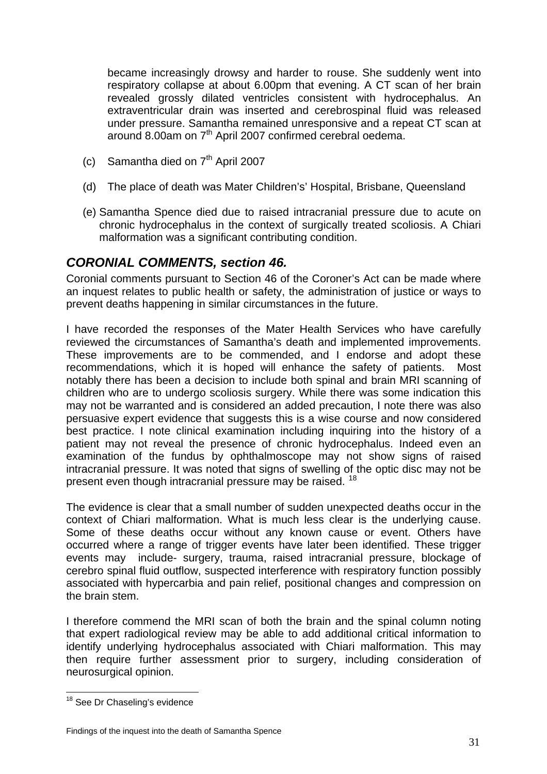became increasingly drowsy and harder to rouse. She suddenly went into respiratory collapse at about 6.00pm that evening. A CT scan of her brain revealed grossly dilated ventricles consistent with hydrocephalus. An extraventricular drain was inserted and cerebrospinal fluid was released under pressure. Samantha remained unresponsive and a repeat CT scan at around 8.00am on 7th April 2007 confirmed cerebral oedema.

- (c) Samantha died on  $7<sup>th</sup>$  April 2007
- (d) The place of death was Mater Children's' Hospital, Brisbane, Queensland
- (e) Samantha Spence died due to raised intracranial pressure due to acute on chronic hydrocephalus in the context of surgically treated scoliosis. A Chiari malformation was a significant contributing condition.

# *CORONIAL COMMENTS, section 46.*

Coronial comments pursuant to Section 46 of the Coroner's Act can be made where an inquest relates to public health or safety, the administration of justice or ways to prevent deaths happening in similar circumstances in the future.

I have recorded the responses of the Mater Health Services who have carefully reviewed the circumstances of Samantha's death and implemented improvements. These improvements are to be commended, and I endorse and adopt these recommendations, which it is hoped will enhance the safety of patients. Most notably there has been a decision to include both spinal and brain MRI scanning of children who are to undergo scoliosis surgery. While there was some indication this may not be warranted and is considered an added precaution, I note there was also persuasive expert evidence that suggests this is a wise course and now considered best practice. I note clinical examination including inquiring into the history of a patient may not reveal the presence of chronic hydrocephalus. Indeed even an examination of the fundus by ophthalmoscope may not show signs of raised intracranial pressure. It was noted that signs of swelling of the optic disc may not be present even though intracranial pressure may be raised. [18](#page-31-0)

The evidence is clear that a small number of sudden unexpected deaths occur in the context of Chiari malformation. What is much less clear is the underlying cause. Some of these deaths occur without any known cause or event. Others have occurred where a range of trigger events have later been identified. These trigger events may include- surgery, trauma, raised intracranial pressure, blockage of cerebro spinal fluid outflow, suspected interference with respiratory function possibly associated with hypercarbia and pain relief, positional changes and compression on the brain stem.

I therefore commend the MRI scan of both the brain and the spinal column noting that expert radiological review may be able to add additional critical information to identify underlying hydrocephalus associated with Chiari malformation. This may then require further assessment prior to surgery, including consideration of neurosurgical opinion.

 $\overline{a}$ 

<span id="page-31-0"></span><sup>&</sup>lt;sup>18</sup> See Dr Chaseling's evidence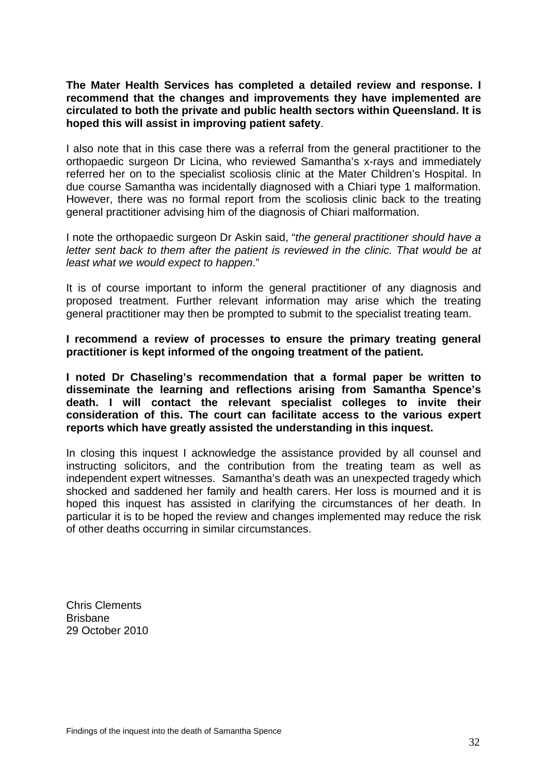**The Mater Health Services has completed a detailed review and response. I recommend that the changes and improvements they have implemented are circulated to both the private and public health sectors within Queensland. It is hoped this will assist in improving patient safety**.

I also note that in this case there was a referral from the general practitioner to the orthopaedic surgeon Dr Licina, who reviewed Samantha's x-rays and immediately referred her on to the specialist scoliosis clinic at the Mater Children's Hospital. In due course Samantha was incidentally diagnosed with a Chiari type 1 malformation. However, there was no formal report from the scoliosis clinic back to the treating general practitioner advising him of the diagnosis of Chiari malformation.

I note the orthopaedic surgeon Dr Askin said, "*the general practitioner should have a letter sent back to them after the patient is reviewed in the clinic. That would be at least what we would expect to happen*."

It is of course important to inform the general practitioner of any diagnosis and proposed treatment. Further relevant information may arise which the treating general practitioner may then be prompted to submit to the specialist treating team.

**I recommend a review of processes to ensure the primary treating general practitioner is kept informed of the ongoing treatment of the patient.** 

**I noted Dr Chaseling's recommendation that a formal paper be written to disseminate the learning and reflections arising from Samantha Spence's death. I will contact the relevant specialist colleges to invite their consideration of this. The court can facilitate access to the various expert reports which have greatly assisted the understanding in this inquest.** 

In closing this inquest I acknowledge the assistance provided by all counsel and instructing solicitors, and the contribution from the treating team as well as independent expert witnesses. Samantha's death was an unexpected tragedy which shocked and saddened her family and health carers. Her loss is mourned and it is hoped this inquest has assisted in clarifying the circumstances of her death. In particular it is to be hoped the review and changes implemented may reduce the risk of other deaths occurring in similar circumstances.

Chris Clements **Brisbane** 29 October 2010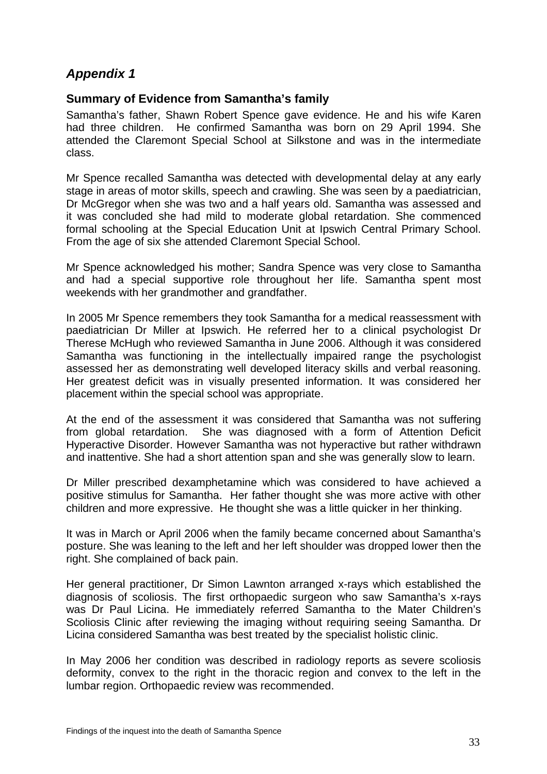# *Appendix 1*

#### **Summary of Evidence from Samantha's family**

Samantha's father, Shawn Robert Spence gave evidence. He and his wife Karen had three children. He confirmed Samantha was born on 29 April 1994. She attended the Claremont Special School at Silkstone and was in the intermediate class.

Mr Spence recalled Samantha was detected with developmental delay at any early stage in areas of motor skills, speech and crawling. She was seen by a paediatrician, Dr McGregor when she was two and a half years old. Samantha was assessed and it was concluded she had mild to moderate global retardation. She commenced formal schooling at the Special Education Unit at Ipswich Central Primary School. From the age of six she attended Claremont Special School.

Mr Spence acknowledged his mother; Sandra Spence was very close to Samantha and had a special supportive role throughout her life. Samantha spent most weekends with her grandmother and grandfather.

In 2005 Mr Spence remembers they took Samantha for a medical reassessment with paediatrician Dr Miller at Ipswich. He referred her to a clinical psychologist Dr Therese McHugh who reviewed Samantha in June 2006. Although it was considered Samantha was functioning in the intellectually impaired range the psychologist assessed her as demonstrating well developed literacy skills and verbal reasoning. Her greatest deficit was in visually presented information. It was considered her placement within the special school was appropriate.

At the end of the assessment it was considered that Samantha was not suffering from global retardation. She was diagnosed with a form of Attention Deficit Hyperactive Disorder. However Samantha was not hyperactive but rather withdrawn and inattentive. She had a short attention span and she was generally slow to learn.

Dr Miller prescribed dexamphetamine which was considered to have achieved a positive stimulus for Samantha. Her father thought she was more active with other children and more expressive. He thought she was a little quicker in her thinking.

It was in March or April 2006 when the family became concerned about Samantha's posture. She was leaning to the left and her left shoulder was dropped lower then the right. She complained of back pain.

Her general practitioner, Dr Simon Lawnton arranged x-rays which established the diagnosis of scoliosis. The first orthopaedic surgeon who saw Samantha's x-rays was Dr Paul Licina. He immediately referred Samantha to the Mater Children's Scoliosis Clinic after reviewing the imaging without requiring seeing Samantha. Dr Licina considered Samantha was best treated by the specialist holistic clinic.

In May 2006 her condition was described in radiology reports as severe scoliosis deformity, convex to the right in the thoracic region and convex to the left in the lumbar region. Orthopaedic review was recommended.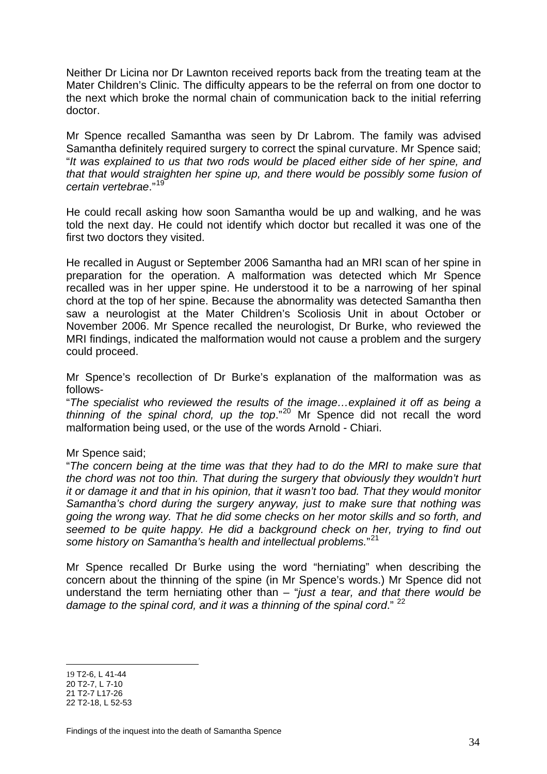Neither Dr Licina nor Dr Lawnton received reports back from the treating team at the Mater Children's Clinic. The difficulty appears to be the referral on from one doctor to the next which broke the normal chain of communication back to the initial referring doctor.

Mr Spence recalled Samantha was seen by Dr Labrom. The family was advised Samantha definitely required surgery to correct the spinal curvature. Mr Spence said: "*It was explained to us that two rods would be placed either side of her spine, and that that would straighten her spine up, and there would be possibly some fusion of certain vertebrae*."[19](#page-34-0)

He could recall asking how soon Samantha would be up and walking, and he was told the next day. He could not identify which doctor but recalled it was one of the first two doctors they visited.

He recalled in August or September 2006 Samantha had an MRI scan of her spine in preparation for the operation. A malformation was detected which Mr Spence recalled was in her upper spine. He understood it to be a narrowing of her spinal chord at the top of her spine. Because the abnormality was detected Samantha then saw a neurologist at the Mater Children's Scoliosis Unit in about October or November 2006. Mr Spence recalled the neurologist, Dr Burke, who reviewed the MRI findings, indicated the malformation would not cause a problem and the surgery could proceed.

Mr Spence's recollection of Dr Burke's explanation of the malformation was as follows-

"*The specialist who reviewed the results of the image…explained it off as being a thinning of the spinal chord, up the top*."[20](#page-34-1) Mr Spence did not recall the word malformation being used, or the use of the words Arnold - Chiari.

#### Mr Spence said;

"*The concern being at the time was that they had to do the MRI to make sure that the chord was not too thin. That during the surgery that obviously they wouldn't hurt it or damage it and that in his opinion, that it wasn't too bad. That they would monitor Samantha's chord during the surgery anyway, just to make sure that nothing was going the wrong way. That he did some checks on her motor skills and so forth, and seemed to be quite happy. He did a background check on her, trying to find out some history on Samantha's health and intellectual problems.*" [21](#page-34-2)

Mr Spence recalled Dr Burke using the word "herniating" when describing the concern about the thinning of the spine (in Mr Spence's words.) Mr Spence did not understand the term herniating other than – "*just a tear, and that there would be damage to the spinal cord, and it was a thinning of the spinal cord*." [22](#page-34-3)

 $\overline{a}$ 

<span id="page-34-0"></span><sup>19</sup> T2-6, L 41-44

<span id="page-34-1"></span><sup>20</sup> T2-7, L 7-10

<span id="page-34-3"></span><span id="page-34-2"></span><sup>21</sup> T2-7 L17-26 22 T2-18, L 52-53

 Findings of the inquest into the death of Samantha Spence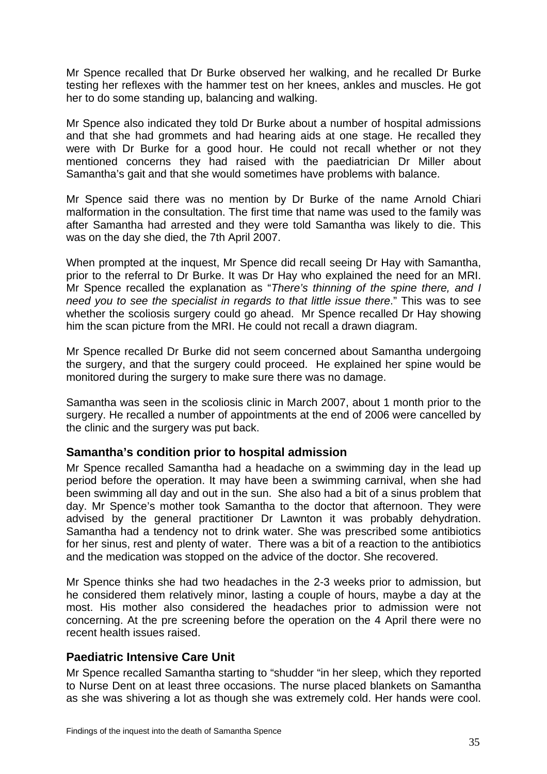Mr Spence recalled that Dr Burke observed her walking, and he recalled Dr Burke testing her reflexes with the hammer test on her knees, ankles and muscles. He got her to do some standing up, balancing and walking.

Mr Spence also indicated they told Dr Burke about a number of hospital admissions and that she had grommets and had hearing aids at one stage. He recalled they were with Dr Burke for a good hour. He could not recall whether or not they mentioned concerns they had raised with the paediatrician Dr Miller about Samantha's gait and that she would sometimes have problems with balance.

Mr Spence said there was no mention by Dr Burke of the name Arnold Chiari malformation in the consultation. The first time that name was used to the family was after Samantha had arrested and they were told Samantha was likely to die. This was on the day she died, the 7th April 2007.

When prompted at the inquest, Mr Spence did recall seeing Dr Hay with Samantha, prior to the referral to Dr Burke. It was Dr Hay who explained the need for an MRI. Mr Spence recalled the explanation as "*There's thinning of the spine there, and I need you to see the specialist in regards to that little issue there*." This was to see whether the scoliosis surgery could go ahead. Mr Spence recalled Dr Hay showing him the scan picture from the MRI. He could not recall a drawn diagram.

Mr Spence recalled Dr Burke did not seem concerned about Samantha undergoing the surgery, and that the surgery could proceed. He explained her spine would be monitored during the surgery to make sure there was no damage.

Samantha was seen in the scoliosis clinic in March 2007, about 1 month prior to the surgery. He recalled a number of appointments at the end of 2006 were cancelled by the clinic and the surgery was put back.

## **Samantha's condition prior to hospital admission**

Mr Spence recalled Samantha had a headache on a swimming day in the lead up period before the operation. It may have been a swimming carnival, when she had been swimming all day and out in the sun. She also had a bit of a sinus problem that day. Mr Spence's mother took Samantha to the doctor that afternoon. They were advised by the general practitioner Dr Lawnton it was probably dehydration. Samantha had a tendency not to drink water. She was prescribed some antibiotics for her sinus, rest and plenty of water. There was a bit of a reaction to the antibiotics and the medication was stopped on the advice of the doctor. She recovered.

Mr Spence thinks she had two headaches in the 2-3 weeks prior to admission, but he considered them relatively minor, lasting a couple of hours, maybe a day at the most. His mother also considered the headaches prior to admission were not concerning. At the pre screening before the operation on the 4 April there were no recent health issues raised.

## **Paediatric Intensive Care Unit**

Mr Spence recalled Samantha starting to "shudder "in her sleep, which they reported to Nurse Dent on at least three occasions. The nurse placed blankets on Samantha as she was shivering a lot as though she was extremely cold. Her hands were cool.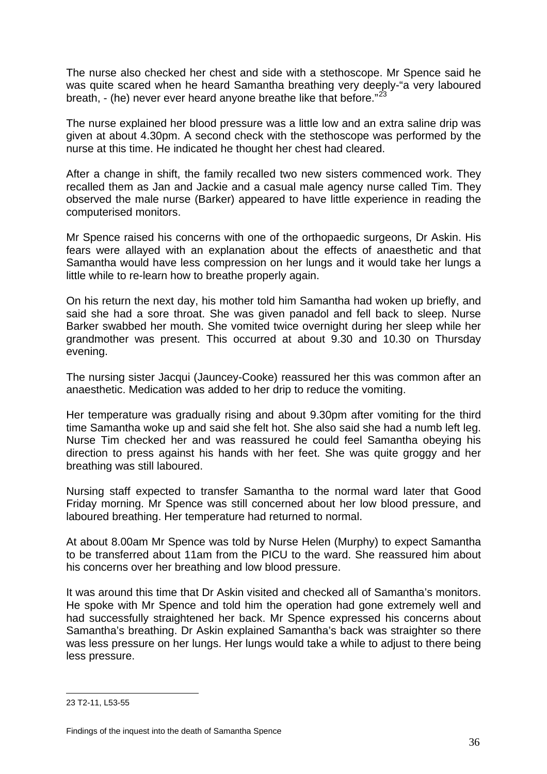The nurse also checked her chest and side with a stethoscope. Mr Spence said he was quite scared when he heard Samantha breathing very deeply-"a very laboured breath,  $-$  (he) never ever heard anyone breathe like that before." $^{23}$  $^{23}$  $^{23}$ 

The nurse explained her blood pressure was a little low and an extra saline drip was given at about 4.30pm. A second check with the stethoscope was performed by the nurse at this time. He indicated he thought her chest had cleared.

After a change in shift, the family recalled two new sisters commenced work. They recalled them as Jan and Jackie and a casual male agency nurse called Tim. They observed the male nurse (Barker) appeared to have little experience in reading the computerised monitors.

Mr Spence raised his concerns with one of the orthopaedic surgeons, Dr Askin. His fears were allayed with an explanation about the effects of anaesthetic and that Samantha would have less compression on her lungs and it would take her lungs a little while to re-learn how to breathe properly again.

On his return the next day, his mother told him Samantha had woken up briefly, and said she had a sore throat. She was given panadol and fell back to sleep. Nurse Barker swabbed her mouth. She vomited twice overnight during her sleep while her grandmother was present. This occurred at about 9.30 and 10.30 on Thursday evening.

The nursing sister Jacqui (Jauncey-Cooke) reassured her this was common after an anaesthetic. Medication was added to her drip to reduce the vomiting.

Her temperature was gradually rising and about 9.30pm after vomiting for the third time Samantha woke up and said she felt hot. She also said she had a numb left leg. Nurse Tim checked her and was reassured he could feel Samantha obeying his direction to press against his hands with her feet. She was quite groggy and her breathing was still laboured.

Nursing staff expected to transfer Samantha to the normal ward later that Good Friday morning. Mr Spence was still concerned about her low blood pressure, and laboured breathing. Her temperature had returned to normal.

At about 8.00am Mr Spence was told by Nurse Helen (Murphy) to expect Samantha to be transferred about 11am from the PICU to the ward. She reassured him about his concerns over her breathing and low blood pressure.

It was around this time that Dr Askin visited and checked all of Samantha's monitors. He spoke with Mr Spence and told him the operation had gone extremely well and had successfully straightened her back. Mr Spence expressed his concerns about Samantha's breathing. Dr Askin explained Samantha's back was straighter so there was less pressure on her lungs. Her lungs would take a while to adjust to there being less pressure.

 $\overline{a}$ 

<span id="page-36-0"></span><sup>23</sup> T2-11, L53-55

 Findings of the inquest into the death of Samantha Spence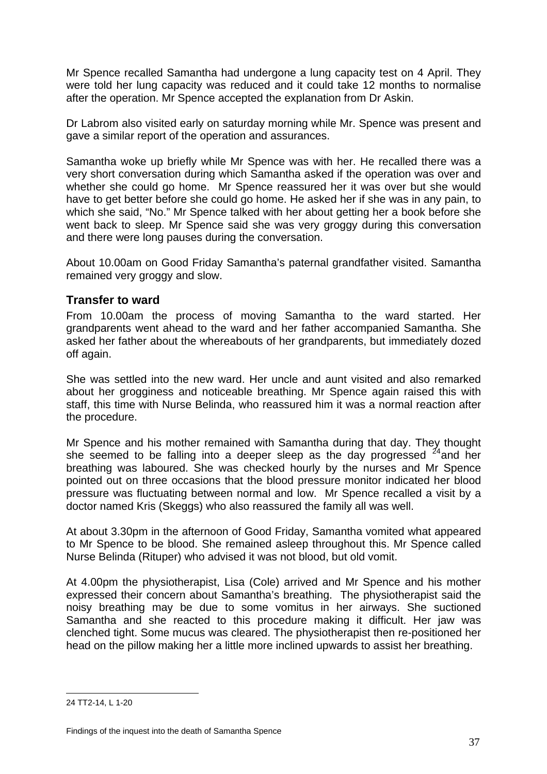Mr Spence recalled Samantha had undergone a lung capacity test on 4 April. They were told her lung capacity was reduced and it could take 12 months to normalise after the operation. Mr Spence accepted the explanation from Dr Askin.

Dr Labrom also visited early on saturday morning while Mr. Spence was present and gave a similar report of the operation and assurances.

Samantha woke up briefly while Mr Spence was with her. He recalled there was a very short conversation during which Samantha asked if the operation was over and whether she could go home. Mr Spence reassured her it was over but she would have to get better before she could go home. He asked her if she was in any pain, to which she said, "No." Mr Spence talked with her about getting her a book before she went back to sleep. Mr Spence said she was very groggy during this conversation and there were long pauses during the conversation.

About 10.00am on Good Friday Samantha's paternal grandfather visited. Samantha remained very groggy and slow.

## **Transfer to ward**

From 10.00am the process of moving Samantha to the ward started. Her grandparents went ahead to the ward and her father accompanied Samantha. She asked her father about the whereabouts of her grandparents, but immediately dozed off again.

She was settled into the new ward. Her uncle and aunt visited and also remarked about her grogginess and noticeable breathing. Mr Spence again raised this with staff, this time with Nurse Belinda, who reassured him it was a normal reaction after the procedure.

Mr Spence and his mother remained with Samantha during that day. They thought she seemed to be falling into a deeper sleep as the day progressed  $24$  and her breathing was laboured. She was checked hourly by the nurses and Mr Spence pointed out on three occasions that the blood pressure monitor indicated her blood pressure was fluctuating between normal and low. Mr Spence recalled a visit by a doctor named Kris (Skeggs) who also reassured the family all was well.

At about 3.30pm in the afternoon of Good Friday, Samantha vomited what appeared to Mr Spence to be blood. She remained asleep throughout this. Mr Spence called Nurse Belinda (Rituper) who advised it was not blood, but old vomit.

At 4.00pm the physiotherapist, Lisa (Cole) arrived and Mr Spence and his mother expressed their concern about Samantha's breathing. The physiotherapist said the noisy breathing may be due to some vomitus in her airways. She suctioned Samantha and she reacted to this procedure making it difficult. Her jaw was clenched tight. Some mucus was cleared. The physiotherapist then re-positioned her head on the pillow making her a little more inclined upwards to assist her breathing.

<span id="page-37-0"></span> $\overline{a}$ 24 TT2-14, L 1-20

 Findings of the inquest into the death of Samantha Spence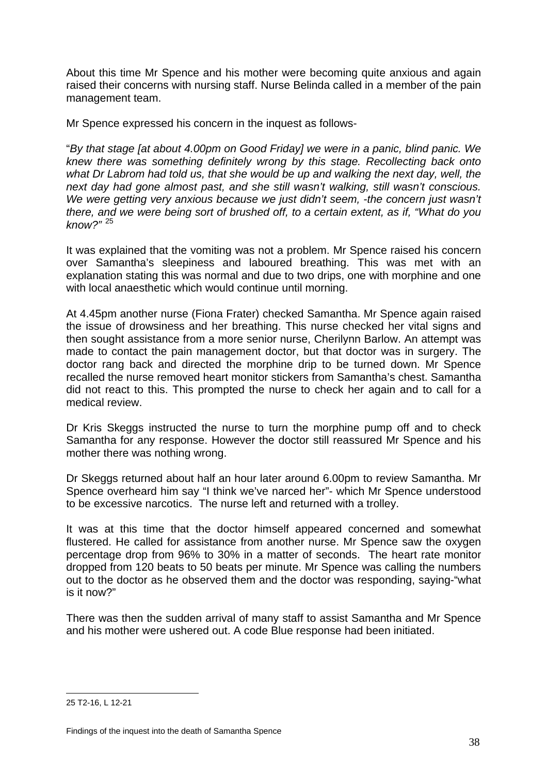About this time Mr Spence and his mother were becoming quite anxious and again raised their concerns with nursing staff. Nurse Belinda called in a member of the pain management team.

Mr Spence expressed his concern in the inquest as follows-

"*By that stage [at about 4.00pm on Good Friday] we were in a panic, blind panic. We knew there was something definitely wrong by this stage. Recollecting back onto what Dr Labrom had told us, that she would be up and walking the next day, well, the next day had gone almost past, and she still wasn't walking, still wasn't conscious.*  We were getting very anxious because we just didn't seem, -the concern just wasn't *there, and we were being sort of brushed off, to a certain extent, as if, "What do you know?"* [25](#page-38-0)

It was explained that the vomiting was not a problem. Mr Spence raised his concern over Samantha's sleepiness and laboured breathing. This was met with an explanation stating this was normal and due to two drips, one with morphine and one with local anaesthetic which would continue until morning.

At 4.45pm another nurse (Fiona Frater) checked Samantha. Mr Spence again raised the issue of drowsiness and her breathing. This nurse checked her vital signs and then sought assistance from a more senior nurse, Cherilynn Barlow. An attempt was made to contact the pain management doctor, but that doctor was in surgery. The doctor rang back and directed the morphine drip to be turned down. Mr Spence recalled the nurse removed heart monitor stickers from Samantha's chest. Samantha did not react to this. This prompted the nurse to check her again and to call for a medical review.

Dr Kris Skeggs instructed the nurse to turn the morphine pump off and to check Samantha for any response. However the doctor still reassured Mr Spence and his mother there was nothing wrong.

Dr Skeggs returned about half an hour later around 6.00pm to review Samantha. Mr Spence overheard him say "I think we've narced her"- which Mr Spence understood to be excessive narcotics. The nurse left and returned with a trolley.

It was at this time that the doctor himself appeared concerned and somewhat flustered. He called for assistance from another nurse. Mr Spence saw the oxygen percentage drop from 96% to 30% in a matter of seconds. The heart rate monitor dropped from 120 beats to 50 beats per minute. Mr Spence was calling the numbers out to the doctor as he observed them and the doctor was responding, saying-"what is it now?"

There was then the sudden arrival of many staff to assist Samantha and Mr Spence and his mother were ushered out. A code Blue response had been initiated.

<span id="page-38-0"></span> $\overline{a}$ 25 T2-16, L 12-21

 Findings of the inquest into the death of Samantha Spence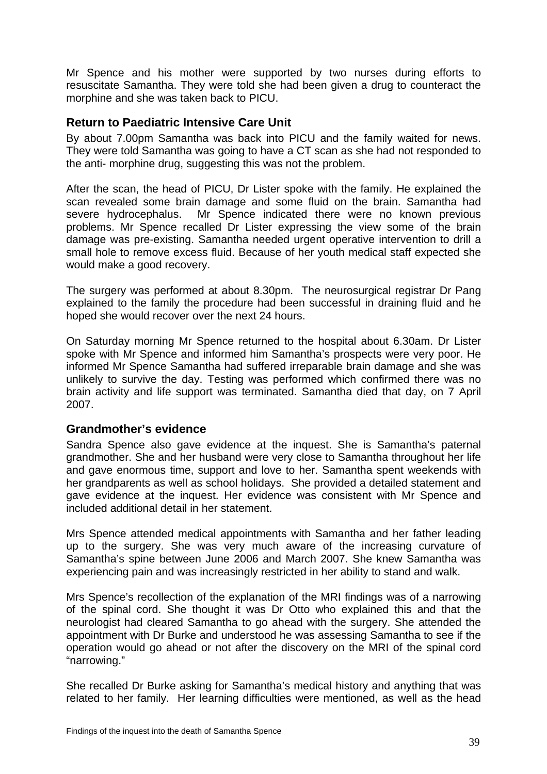Mr Spence and his mother were supported by two nurses during efforts to resuscitate Samantha. They were told she had been given a drug to counteract the morphine and she was taken back to PICU.

## **Return to Paediatric Intensive Care Unit**

By about 7.00pm Samantha was back into PICU and the family waited for news. They were told Samantha was going to have a CT scan as she had not responded to the anti- morphine drug, suggesting this was not the problem.

After the scan, the head of PICU, Dr Lister spoke with the family. He explained the scan revealed some brain damage and some fluid on the brain. Samantha had severe hydrocephalus. Mr Spence indicated there were no known previous problems. Mr Spence recalled Dr Lister expressing the view some of the brain damage was pre-existing. Samantha needed urgent operative intervention to drill a small hole to remove excess fluid. Because of her youth medical staff expected she would make a good recovery.

The surgery was performed at about 8.30pm. The neurosurgical registrar Dr Pang explained to the family the procedure had been successful in draining fluid and he hoped she would recover over the next 24 hours.

On Saturday morning Mr Spence returned to the hospital about 6.30am. Dr Lister spoke with Mr Spence and informed him Samantha's prospects were very poor. He informed Mr Spence Samantha had suffered irreparable brain damage and she was unlikely to survive the day. Testing was performed which confirmed there was no brain activity and life support was terminated. Samantha died that day, on 7 April 2007.

## **Grandmother's evidence**

Sandra Spence also gave evidence at the inquest. She is Samantha's paternal grandmother. She and her husband were very close to Samantha throughout her life and gave enormous time, support and love to her. Samantha spent weekends with her grandparents as well as school holidays. She provided a detailed statement and gave evidence at the inquest. Her evidence was consistent with Mr Spence and included additional detail in her statement.

Mrs Spence attended medical appointments with Samantha and her father leading up to the surgery. She was very much aware of the increasing curvature of Samantha's spine between June 2006 and March 2007. She knew Samantha was experiencing pain and was increasingly restricted in her ability to stand and walk.

Mrs Spence's recollection of the explanation of the MRI findings was of a narrowing of the spinal cord. She thought it was Dr Otto who explained this and that the neurologist had cleared Samantha to go ahead with the surgery. She attended the appointment with Dr Burke and understood he was assessing Samantha to see if the operation would go ahead or not after the discovery on the MRI of the spinal cord "narrowing."

She recalled Dr Burke asking for Samantha's medical history and anything that was related to her family. Her learning difficulties were mentioned, as well as the head